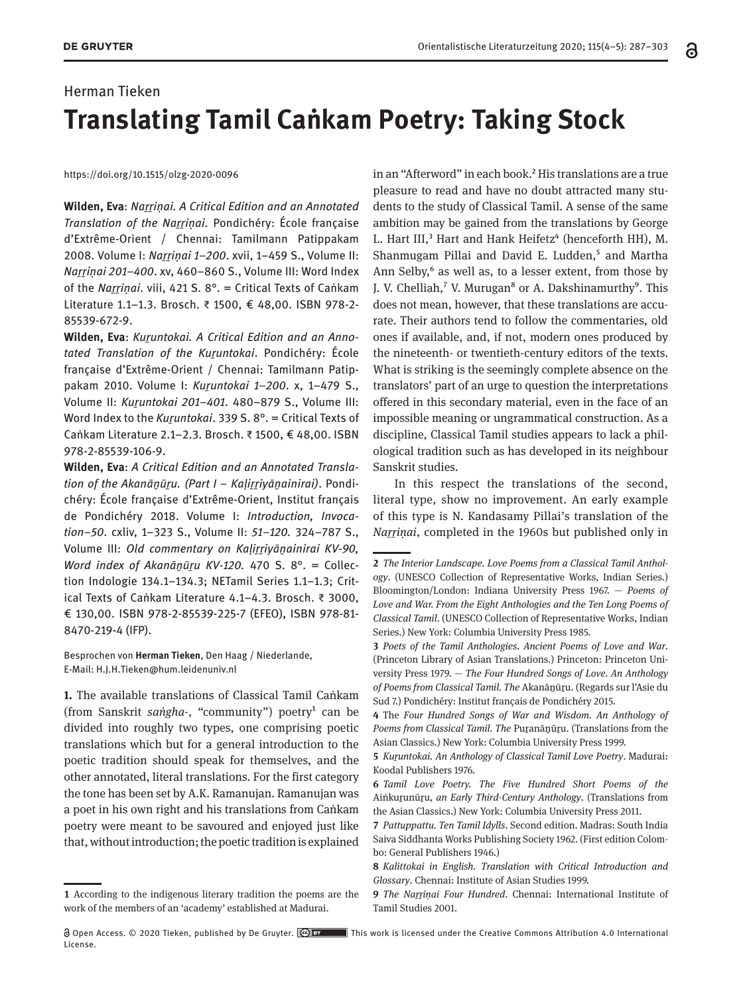## Herman Tieken **Translating Tamil Caṅkam Poetry: Taking Stock**

<https://doi.org/10.1515/olzg-2020-0096>

**Wilden, Eva**: *Naṟṟiṇai. A Critical Edition and an Annotated Translation of the Naṟṟiṇai*. Pondichéry: École française d'Extrême-Orient / Chennai: Tamilmann Patippakam 2008. Volume I: *Naṟṟiṇai 1–200*. xvii, 1–459 S., Volume II: *Naṟṟiṇai 201–400*. xv, 460–860 S., Volume III: Word Index of the *Naṟṟiṇai*. viii, 421 S. 8°. = Critical Texts of Caṅkam Literature 1.1–1.3. Brosch. ₹ 1500, € 48,00. ISBN 978-2- 85539-672-9.

Wilden, Eva: Kuruntokai. A Critical Edition and an Anno*tated Translation of the Kuṟuntokai*. Pondichéry: École française d'Extrême-Orient / Chennai: Tamilmann Patippakam 2010. Volume I: *Kuṟuntokai 1–200*. x, 1–479 S., Volume II: *Kuṟuntokai 201–401*. 480–879 S., Volume III: Word Index to the *Kuruntokai*. 339 S. 8°. = Critical Texts of Caṅkam Literature 2.1–2.3. Brosch. ₹ 1500, € 48,00. ISBN 978-2-85539-106-9.

**Wilden, Eva**: *A Critical Edition and an Annotated Translation of the Akanāṉūṟu. (Part I – Kaḷiṟṟiyāṉainirai)*. Pondichéry: École française d'Extrême-Orient, Institut français de Pondichéry 2018. Volume I: *Introduction, Invocation–50*. cxliv, 1–323 S., Volume II: *51–120.* 324–787 S., Volume III: *Old commentary on Kaḷiṟṟiyāṉainirai KV-90, Word index of Akanāṉūṟu KV-120.* 470 S. 8°. = Collection Indologie 134.1–134.3; NETamil Series 1.1–1.3; Critical Texts of Caṅkam Literature 4.1–4.3. Brosch. ₹ 3000, € 130,00. ISBN 978-2-85539-225-7 (EFEO), ISBN 978-81- 8470-219-4 (IFP).

Besprochen von **Herman Tieken**, Den Haag / Niederlande, E-Mail: [H.J.H.Tieken@hum.leidenuniv.nl](mailto:H.J.H.Tieken@hum.leidenuniv.nl)

**1.** The available translations of Classical Tamil Caṅkam (from Sanskrit *saṅgha-*, "community") poetry<sup>1</sup> can be divided into roughly two types, one comprising poetic translations which but for a general introduction to the poetic tradition should speak for themselves, and the other annotated, literal translations. For the first category the tone has been set by A.K. Ramanujan. Ramanujan was a poet in his own right and his translations from Caṅkam poetry were meant to be savoured and enjoyed just like that, without introduction; the poetic tradition is explained

in an "Afterword" in each book.<sup>2</sup> His translations are a true pleasure to read and have no doubt attracted many students to the study of Classical Tamil. A sense of the same ambition may be gained from the translations by George L. Hart III,<sup>3</sup> Hart and Hank Heifetz<sup>4</sup> (henceforth HH), M. Shanmugam Pillai and David E. Ludden,<sup>5</sup> and Martha Ann Selby, $6$  as well as, to a lesser extent, from those by J. V. Chelliah,<sup>7</sup> V. Murugan<sup>8</sup> or A. Dakshinamurthy<sup>9</sup>. This does not mean, however, that these translations are accurate. Their authors tend to follow the commentaries, old ones if available, and, if not, modern ones produced by the nineteenth- or twentieth-century editors of the texts. What is striking is the seemingly complete absence on the translators' part of an urge to question the interpretations offered in this secondary material, even in the face of an impossible meaning or ungrammatical construction. As a discipline, Classical Tamil studies appears to lack a philological tradition such as has developed in its neighbour Sanskrit studies.

In this respect the translations of the second, literal type, show no improvement. An early example of this type is N. Kandasamy Pillai's translation of the *Naṟṟiṇai*, completed in the 1960s but published only in

**<sup>1</sup>** According to the indigenous literary tradition the poems are the work of the members of an 'academy' established at Madurai.

**<sup>2</sup>** *The Interior Landscape. Love Poems from a Classical Tamil Anthology*. (UNESCO Collection of Representative Works, Indian Series.) Bloomington/London: Indiana University Press 1967. — *Poems of Love and War. From the Eight Anthologies and the Ten Long Poems of Classical Tamil*. (UNESCO Collection of Representative Works, Indian Series.) New York: Columbia University Press 1985.

**<sup>3</sup>** *Poets of the Tamil Anthologies. Ancient Poems of Love and War*. (Princeton Library of Asian Translations.) Princeton: Princeton University Press 1979. — *The Four Hundred Songs of Love. An Anthology of Poems from Classical Tamil. The* Akanāṉūṟu. (Regards sur l'Asie du Sud 7.) Pondichéry: Institut français de Pondichéry 2015.

**<sup>4</sup>** The *Four Hundred Songs of War and Wisdom. An Anthology of Poems from Classical Tamil. The* Puṟanāṉūṟu. (Translations from the Asian Classics.) New York: Columbia University Press 1999.

**<sup>5</sup>** *Kuṟuntokai. An Anthology of Classical Tamil Love Poetry*. Madurai: Koodal Publishers 1976.

**<sup>6</sup>** *Tamil Love Poetry. The Five Hundred Short Poems of the*  Aiṅkuṟunūṟu*, an Early Third-Century Anthology*. (Translations from the Asian Classics.) New York: Columbia University Press 2011.

**<sup>7</sup>** *Pattuppattu. Ten Tamil Idylls*. Second edition. Madras: South India Saiva Siddhanta Works Publishing Society 1962. (First edition Colombo: General Publishers 1946.)

**<sup>8</sup>** *Kalittokai in English. Translation with Critical Introduction and Glossary*. Chennai: Institute of Asian Studies 1999.

**<sup>9</sup>** *The Naṟṟiṇai Four Hundred*. Chennai: International Institute of Tamil Studies 2001.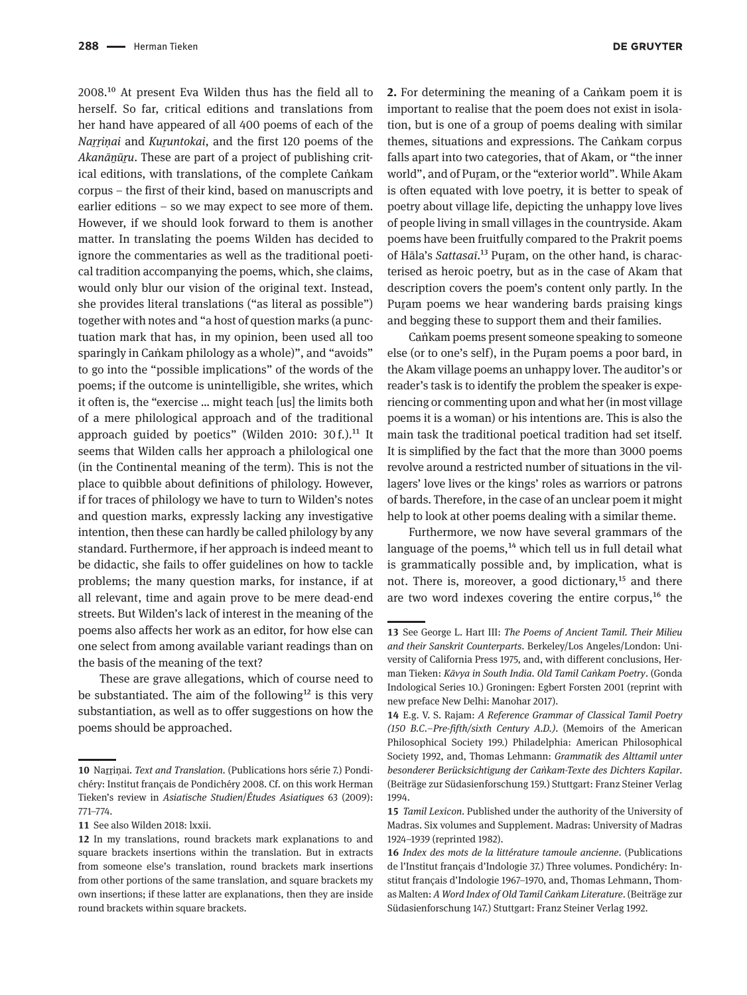2008.10 At present Eva Wilden thus has the field all to herself. So far, critical editions and translations from her hand have appeared of all 400 poems of each of the *Naṟṟiṇai* and *Kuṟuntokai*, and the first 120 poems of the *Akanānūru*. These are part of a project of publishing critical editions, with translations, of the complete Caṅkam corpus – the first of their kind, based on manuscripts and earlier editions – so we may expect to see more of them. However, if we should look forward to them is another matter. In translating the poems Wilden has decided to ignore the commentaries as well as the traditional poetical tradition accompanying the poems, which, she claims, would only blur our vision of the original text. Instead, she provides literal translations ("as literal as possible") together with notes and "a host of question marks (a punctuation mark that has, in my opinion, been used all too sparingly in Caṅkam philology as a whole)", and "avoids" to go into the "possible implications" of the words of the poems; if the outcome is unintelligible, she writes, which it often is, the "exercise … might teach [us] the limits both of a mere philological approach and of the traditional approach guided by poetics" (Wilden 2010: 30 $f$ .).<sup>11</sup> It seems that Wilden calls her approach a philological one (in the Continental meaning of the term). This is not the place to quibble about definitions of philology. However, if for traces of philology we have to turn to Wilden's notes and question marks, expressly lacking any investigative intention, then these can hardly be called philology by any standard. Furthermore, if her approach is indeed meant to be didactic, she fails to offer guidelines on how to tackle problems; the many question marks, for instance, if at all relevant, time and again prove to be mere dead-end streets. But Wilden's lack of interest in the meaning of the poems also affects her work as an editor, for how else can one select from among available variant readings than on the basis of the meaning of the text?

These are grave allegations, which of course need to be substantiated. The aim of the following<sup>12</sup> is this very substantiation, as well as to offer suggestions on how the poems should be approached.

**DE GRUYTER** 

**2.** For determining the meaning of a Caṅkam poem it is important to realise that the poem does not exist in isolation, but is one of a group of poems dealing with similar themes, situations and expressions. The Caṅkam corpus falls apart into two categories, that of Akam, or "the inner world", and of Puram, or the "exterior world". While Akam is often equated with love poetry, it is better to speak of poetry about village life, depicting the unhappy love lives of people living in small villages in the countryside. Akam poems have been fruitfully compared to the Prakrit poems of Hāla's *Sattasa*ī.<sup>13</sup> Puram, on the other hand, is characterised as heroic poetry, but as in the case of Akam that description covers the poem's content only partly. In the Puram poems we hear wandering bards praising kings and begging these to support them and their families.

Caṅkam poems present someone speaking to someone else (or to one's self), in the Puṟam poems a poor bard, in the Akam village poems an unhappy lover. The auditor's or reader's task is to identify the problem the speaker is experiencing or commenting upon and what her (in most village poems it is a woman) or his intentions are. This is also the main task the traditional poetical tradition had set itself. It is simplified by the fact that the more than 3000 poems revolve around a restricted number of situations in the villagers' love lives or the kings' roles as warriors or patrons of bards. Therefore, in the case of an unclear poem it might help to look at other poems dealing with a similar theme.

Furthermore, we now have several grammars of the language of the poems, $14$  which tell us in full detail what is grammatically possible and, by implication, what is not. There is, moreover, a good dictionary, $^{15}$  and there are two word indexes covering the entire corpus,<sup>16</sup> the

<sup>10</sup> Narrinai. Text and Translation. (Publications hors série 7.) Pondichéry: Institut français de Pondichéry 2008. Cf. on this work Herman Tieken's review in *Asiatische Studien*/*Études Asiatiques* 63 (2009): 771–774.

**<sup>11</sup>** See also Wilden 2018: lxxii.

**<sup>12</sup>** In my translations, round brackets mark explanations to and square brackets insertions within the translation. But in extracts from someone else's translation, round brackets mark insertions from other portions of the same translation, and square brackets my own insertions; if these latter are explanations, then they are inside round brackets within square brackets.

**<sup>13</sup>** See George L. Hart III: *The Poems of Ancient Tamil. Their Milieu and their Sanskrit Counterparts*. Berkeley/Los Angeles/London: University of California Press 1975, and, with different conclusions, Herman Tieken: *Kāvya in South India. Old Tamil Caṅkam Poetry*. (Gonda Indological Series 10.) Groningen: Egbert Forsten 2001 (reprint with new preface New Delhi: Manohar 2017).

**<sup>14</sup>** E.g. V. S. Rajam: *A Reference Grammar of Classical Tamil Poetry (150 B.C.–Pre-fifth/sixth Century A.D.)*. (Memoirs of the American Philosophical Society 199.) Philadelphia: American Philosophical Society 1992, and, Thomas Lehmann: *Grammatik des Alttamil unter besonderer Berücksichtigung der Caṅkam-Texte des Dichters Kapilar*. (Beiträge zur Südasienforschung 159.) Stuttgart: Franz Steiner Verlag 1994.

**<sup>15</sup>** *Tamil Lexicon*. Published under the authority of the University of Madras. Six volumes and Supplement. Madras: University of Madras 1924–1939 (reprinted 1982).

**<sup>16</sup>** *Index des mots de la littérature tamoule ancienne*. (Publications de l'Institut français d'Indologie 37.) Three volumes. Pondichéry: Institut français d'Indologie 1967–1970, and, Thomas Lehmann, Thomas Malten: *A Word Index of Old Tamil Caṅkam Literature*. (Beiträge zur Südasienforschung 147.) Stuttgart: Franz Steiner Verlag 1992.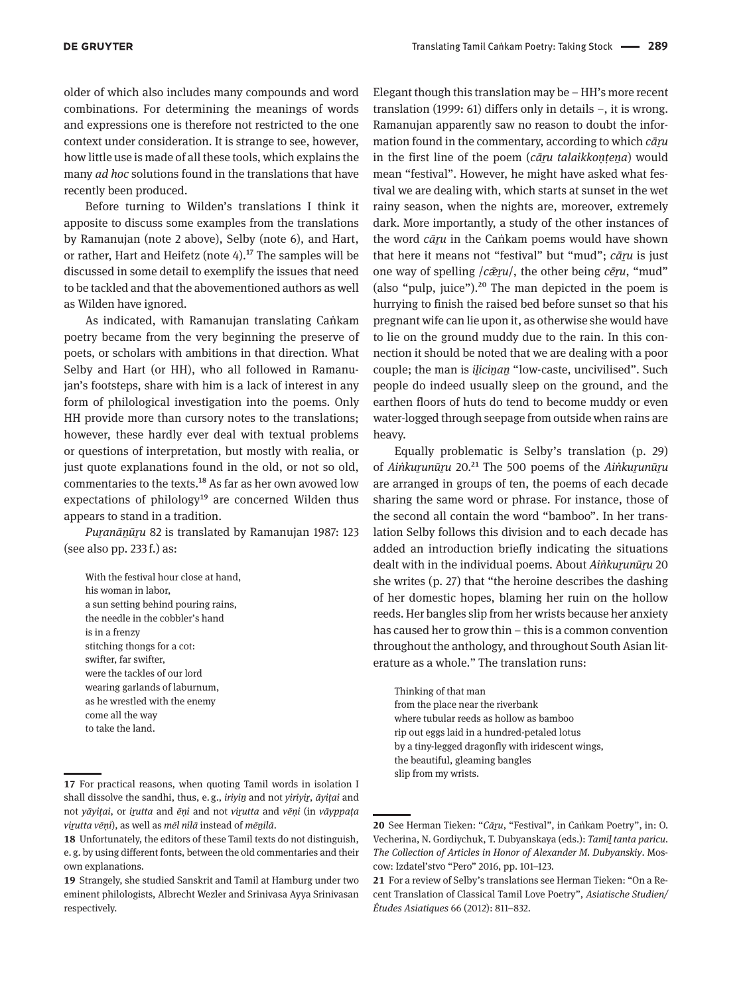older of which also includes many compounds and word combinations. For determining the meanings of words and expressions one is therefore not restricted to the one context under consideration. It is strange to see, however, how little use is made of all these tools, which explains the many *ad hoc* solutions found in the translations that have recently been produced.

Before turning to Wilden's translations I think it apposite to discuss some examples from the translations by Ramanujan (note 2 above), Selby (note 6), and Hart, or rather, Hart and Heifetz (note  $4$ ).<sup>17</sup> The samples will be discussed in some detail to exemplify the issues that need to be tackled and that the abovementioned authors as well as Wilden have ignored.

As indicated, with Ramanujan translating Caṅkam poetry became from the very beginning the preserve of poets, or scholars with ambitions in that direction. What Selby and Hart (or HH), who all followed in Ramanujan's footsteps, share with him is a lack of interest in any form of philological investigation into the poems. Only HH provide more than cursory notes to the translations; however, these hardly ever deal with textual problems or questions of interpretation, but mostly with realia, or just quote explanations found in the old, or not so old, commentaries to the texts.18 As far as her own avowed low expectations of philology $19$  are concerned Wilden thus appears to stand in a tradition.

*Puṟanāṉūṟu* 82 is translated by Ramanujan 1987: 123 (see also pp. 233 f.) as:

With the festival hour close at hand, his woman in labor, a sun setting behind pouring rains, the needle in the cobbler's hand is in a frenzy stitching thongs for a cot: swifter, far swifter, were the tackles of our lord wearing garlands of laburnum, as he wrestled with the enemy come all the way to take the land.

Elegant though this translation may be – HH's more recent translation (1999: 61) differs only in details –, it is wrong. Ramanujan apparently saw no reason to doubt the information found in the commentary, according to which *cāṟu* in the first line of the poem (*cāru talaikkontena*) would mean "festival". However, he might have asked what festival we are dealing with, which starts at sunset in the wet rainy season, when the nights are, moreover, extremely dark. More importantly, a study of the other instances of the word *cāṟu* in the Caṅkam poems would have shown that here it means not "festival" but "mud"; *cāru* is just one way of spelling /*cǣṟu*/, the other being *cēṟu*, "mud" (also "pulp, juice"). $20$  The man depicted in the poem is hurrying to finish the raised bed before sunset so that his pregnant wife can lie upon it, as otherwise she would have to lie on the ground muddy due to the rain. In this connection it should be noted that we are dealing with a poor couple; the man is *ilicinan* "low-caste, uncivilised". Such people do indeed usually sleep on the ground, and the earthen floors of huts do tend to become muddy or even water-logged through seepage from outside when rains are heavy.

Equally problematic is Selby's translation (p. 29) of *Aiṅkurunūru* 20.<sup>21</sup> The 500 poems of the *Aiṅkurunūru* are arranged in groups of ten, the poems of each decade sharing the same word or phrase. For instance, those of the second all contain the word "bamboo". In her translation Selby follows this division and to each decade has added an introduction briefly indicating the situations dealt with in the individual poems. About *Aiṅkuṟunūṟu* 20 she writes (p. 27) that "the heroine describes the dashing of her domestic hopes, blaming her ruin on the hollow reeds. Her bangles slip from her wrists because her anxiety has caused her to grow thin – this is a common convention throughout the anthology, and throughout South Asian literature as a whole." The translation runs:

Thinking of that man from the place near the riverbank where tubular reeds as hollow as bamboo rip out eggs laid in a hundred-petaled lotus by a tiny-legged dragonfly with iridescent wings, the beautiful, gleaming bangles slip from my wrists.

**<sup>17</sup>** For practical reasons, when quoting Tamil words in isolation I shall dissolve the sandhi, thus, e. g., *iriyiṉ* and not *yiriyiṟ*, *āyiṭai* and not *yāyiṭai*, or *iṟutta* and *ēṇi* and not *viṟutta* and *vēṇi* (in *vāyppaṭa viṟutta vēṇi*), as well as *mēl nilā* instead of *mēṉilā*.

**<sup>18</sup>** Unfortunately, the editors of these Tamil texts do not distinguish, e. g. by using different fonts, between the old commentaries and their own explanations.

**<sup>19</sup>** Strangely, she studied Sanskrit and Tamil at Hamburg under two eminent philologists, Albrecht Wezler and Srinivasa Ayya Srinivasan respectively.

**<sup>20</sup>** See Herman Tieken: "*Cāṟu*, "Festival", in Caṅkam Poetry", in: O. Vecherina, N. Gordiychuk, T. Dubyanskaya (eds.): *Tamiḻ tanta paricu. The Collection of Articles in Honor of Alexander M. Dubyanskiy*. Moscow: Izdatel'stvo "Pero" 2016, pp. 101–123.

**<sup>21</sup>** For a review of Selby's translations see Herman Tieken: "On a Recent Translation of Classical Tamil Love Poetry", *Asiatische Studien/ Études Asiatiques* 66 (2012): 811–832.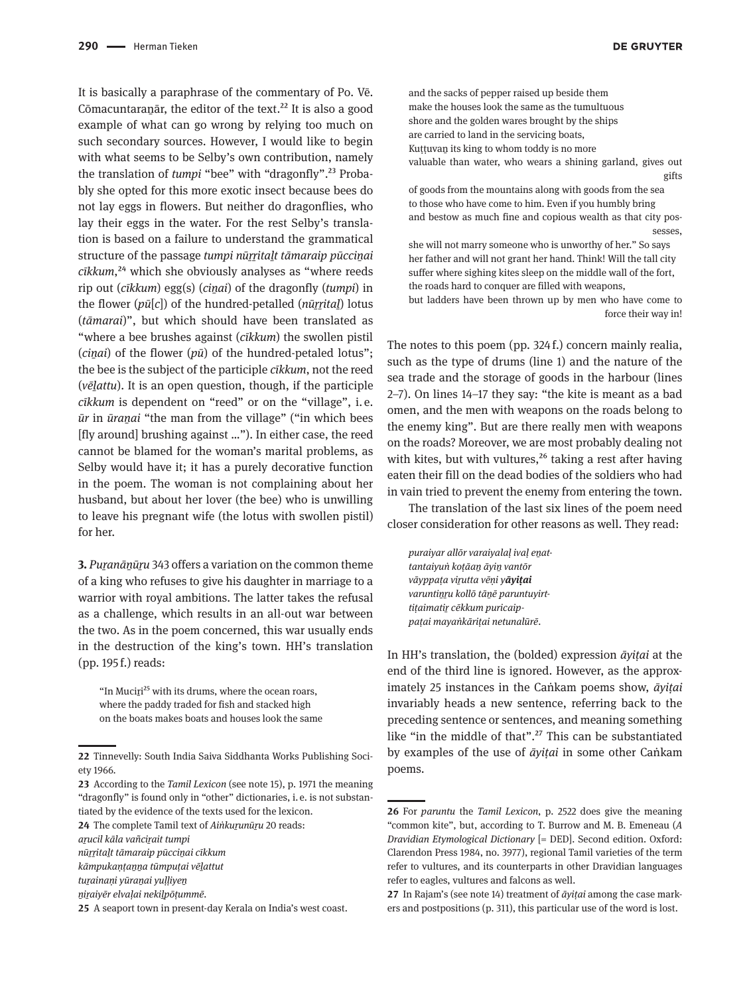It is basically a paraphrase of the commentary of Po. Vē. Cōmacuntara $\bar{a}$ r, the editor of the text.<sup>22</sup> It is also a good example of what can go wrong by relying too much on such secondary sources. However, I would like to begin with what seems to be Selby's own contribution, namely the translation of *tumpi* "bee" with "dragonfly".<sup>23</sup> Probably she opted for this more exotic insect because bees do not lay eggs in flowers. But neither do dragonflies, who lay their eggs in the water. For the rest Selby's translation is based on a failure to understand the grammatical structure of the passage *tumpi nūrritalt tāmaraip pūccinai cīkkum*,<sup>24</sup> which she obviously analyses as "where reeds rip out (*cīkkum*) egg(s) (*ciṉai*) of the dragonfly (*tumpi*) in the flower (*pū*[*c*]) of the hundred-petalled (*nūṟṟitaḻ*) lotus (*tāmarai*)", but which should have been translated as "where a bee brushes against (*cīkkum*) the swollen pistil (*ciṉai*) of the flower (*pū*) of the hundred-petaled lotus"; the bee is the subject of the participle *cīkkum*, not the reed (*vēḻattu*). It is an open question, though, if the participle *cīkkum* is dependent on "reed" or on the "village", i.  e. *ūr* in *ūraṉai* "the man from the village" ("in which bees [fly around] brushing against …"). In either case, the reed cannot be blamed for the woman's marital problems, as Selby would have it; it has a purely decorative function in the poem. The woman is not complaining about her husband, but about her lover (the bee) who is unwilling to leave his pregnant wife (the lotus with swollen pistil) for her.

**3.** *Puṟanāṉūṟu* 343 offers a variation on the common theme of a king who refuses to give his daughter in marriage to a warrior with royal ambitions. The latter takes the refusal as a challenge, which results in an all-out war between the two. As in the poem concerned, this war usually ends in the destruction of the king's town. HH's translation (pp. 195 f.) reads:

"In Muciri<sup>25</sup> with its drums, where the ocean roars, where the paddy traded for fish and stacked high on the boats makes boats and houses look the same and the sacks of pepper raised up beside them make the houses look the same as the tumultuous shore and the golden wares brought by the ships are carried to land in the servicing boats, Kuṭṭuvan its king to whom toddy is no more valuable than water, who wears a shining garland, gives out gifts

of goods from the mountains along with goods from the sea to those who have come to him. Even if you humbly bring and bestow as much fine and copious wealth as that city possesses,

she will not marry someone who is unworthy of her." So says her father and will not grant her hand. Think! Will the tall city suffer where sighing kites sleep on the middle wall of the fort, the roads hard to conquer are filled with weapons,

but ladders have been thrown up by men who have come to force their way in!

The notes to this poem (pp. 324 f.) concern mainly realia, such as the type of drums (line 1) and the nature of the sea trade and the storage of goods in the harbour (lines 2–7). On lines 14–17 they say: "the kite is meant as a bad omen, and the men with weapons on the roads belong to the enemy king". But are there really men with weapons on the roads? Moreover, we are most probably dealing not with kites, but with vultures, $26$  taking a rest after having eaten their fill on the dead bodies of the soldiers who had in vain tried to prevent the enemy from entering the town.

The translation of the last six lines of the poem need closer consideration for other reasons as well. They read:

*puraiyar allōr varaiyalaḷ ivaḷ eṉattantaiyuṅ koṭāaṉ āyiṉ vantōr vāyppaṭa viṟutta vēṇi yāyiṭai varuntiṉṟu kollō tāṉē paruntuyirttiṭaimatiṟ cēkkum puricaippaṭai mayaṅkāriṭai netunalūrē*.

In HH's translation, the (bolded) expression *āyiṭai* at the end of the third line is ignored. However, as the approximately 25 instances in the Caṅkam poems show, *āyiṭai*  invariably heads a new sentence, referring back to the preceding sentence or sentences, and meaning something like "in the middle of that".27 This can be substantiated by examples of the use of *āyiṭai* in some other Caṅkam poems.

**<sup>22</sup>** Tinnevelly: South India Saiva Siddhanta Works Publishing Society 1966.

**<sup>23</sup>** According to the *Tamil Lexicon* (see note 15), p. 1971 the meaning "dragonfly" is found only in "other" dictionaries, i. e. is not substantiated by the evidence of the texts used for the lexicon.

**<sup>24</sup>** The complete Tamil text of *Aiṅkuṟunūṟu* 20 reads:

*aṟucil kāla vañciṟait tumpi*

*nūṟṟitaḻt tāmaraip pūcciṉai cīkkum*

*kāmpukaṇṭaṉṉa tūmpuṭai vēḻattut*

*tuṟainaṇi yūraṉai yuḷḷiyeṉ*

*ṉiṟaiyēr elvaḷai nekiḻpōṭummē.*

**<sup>25</sup>** A seaport town in present-day Kerala on India's west coast.

**<sup>26</sup>** For *paruntu* the *Tamil Lexicon*, p. 2522 does give the meaning "common kite", but, according to T. Burrow and M. B. Emeneau (*A Dravidian Etymological Dictionary* [= DED]. Second edition. Oxford: Clarendon Press 1984, no. 3977), regional Tamil varieties of the term refer to vultures, and its counterparts in other Dravidian languages refer to eagles, vultures and falcons as well.

**<sup>27</sup>** In Rajam's (see note 14) treatment of *āyiṭai* among the case markers and postpositions (p. 311), this particular use of the word is lost.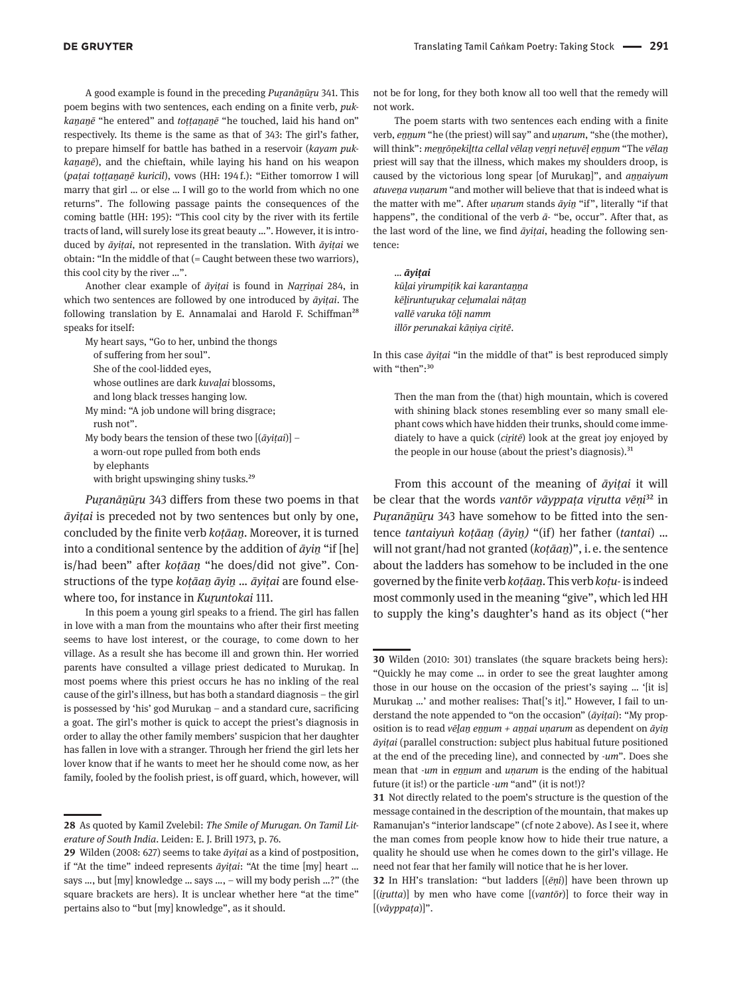A good example is found in the preceding *Puranānūru* 341. This poem begins with two sentences, each ending on a finite verb, *pukkaṉaṉē* "he entered" and *toṭṭaṉaṉē* "he touched, laid his hand on" respectively. Its theme is the same as that of 343: The girl's father, to prepare himself for battle has bathed in a reservoir (*kayam pukkaṉaṉē*), and the chieftain, while laying his hand on his weapon (*paṭai toṭṭaṉaṉē kuricil*), vows (HH: 194 f.): "Either tomorrow I will marry that girl … or else … I will go to the world from which no one returns". The following passage paints the consequences of the coming battle (HH: 195): "This cool city by the river with its fertile tracts of land, will surely lose its great beauty …". However, it is introduced by *āyiṭai*, not represented in the translation. With *āyiṭai* we obtain: "In the middle of that (= Caught between these two warriors), this cool city by the river …".

Another clear example of *āyitai* is found in *Narrinai* 284, in which two sentences are followed by one introduced by *āyiṭai*. The following translation by E. Annamalai and Harold F. Schiffman<sup>28</sup> speaks for itself:

My heart says, "Go to her, unbind the thongs of suffering from her soul". She of the cool-lidded eyes,

whose outlines are dark *kuvaḷai* blossoms,

and long black tresses hanging low.

- My mind: "A job undone will bring disgrace; rush not".
- My body bears the tension of these two [(*āyiṭai*)] a worn-out rope pulled from both ends by elephants

with bright upswinging shiny tusks.<sup>29</sup>

*Puṟanāṉūṟu* 343 differs from these two poems in that *āyiṭai* is preceded not by two sentences but only by one, concluded by the finite verb *koṭāaṉ*. Moreover, it is turned into a conditional sentence by the addition of *āyiṉ* "if [he] is/had been" after *koṭāaṉ* "he does/did not give". Constructions of the type *koṭāaṉ āyiṉ* … *āyiṭai* are found elsewhere too, for instance in *Kuṟuntokai* 111.

In this poem a young girl speaks to a friend. The girl has fallen in love with a man from the mountains who after their first meeting seems to have lost interest, or the courage, to come down to her village. As a result she has become ill and grown thin. Her worried parents have consulted a village priest dedicated to Murukaṉ. In most poems where this priest occurs he has no inkling of the real cause of the girl's illness, but has both a standard diagnosis – the girl is possessed by 'his' god Murukaṉ – and a standard cure, sacrificing a goat. The girl's mother is quick to accept the priest's diagnosis in order to allay the other family members' suspicion that her daughter has fallen in love with a stranger. Through her friend the girl lets her lover know that if he wants to meet her he should come now, as her family, fooled by the foolish priest, is off guard, which, however, will

not be for long, for they both know all too well that the remedy will not work.

The poem starts with two sentences each ending with a finite verb, *eṉṉum* "he (the priest) will say" and *uṇarum*, "she (the mother), will think": *meṉṟōṇekiḻtta cellal vēlaṉ veṉṟi neṭuvēḷ eṉṉum* "The *vēlaṉ* priest will say that the illness, which makes my shoulders droop, is caused by the victorious long spear [of Murukan]", and *annaiyum atuveṉa vuṇarum* "and mother will believe that that is indeed what is the matter with me". After *uṇarum* stands *āyiṉ* "if", literally "if that happens", the conditional of the verb *ā-* "be, occur". After that, as the last word of the line, we find *āyiṭai*, heading the following sentence:

*… āyiṭai*

*kūḻai yirumpiṭik kai karantaṉṉa kēḻiruntuṟukaṟ ceḻumalai nāṭaṉ vallē varuka tōḻi namm illōr perunakai kāṇiya ciṟitē*.

In this case *āyiṭai* "in the middle of that" is best reproduced simply with "then":<sup>30</sup>

Then the man from the (that) high mountain, which is covered with shining black stones resembling ever so many small elephant cows which have hidden their trunks, should come immediately to have a quick (*ciṟitē*) look at the great joy enjoyed by the people in our house (about the priest's diagnosis).<sup>31</sup>

From this account of the meaning of *āyiṭai* it will be clear that the words *vantōr vāyppaṭa viṟutta vēṇi*32 in Puranānūru 343 have somehow to be fitted into the sentence *tantaiyuṅ koṭāaṉ (āyiṉ)* "(if) her father (*tantai*) … will not grant/had not granted (*koṭāaṉ*)", i. e. the sentence about the ladders has somehow to be included in the one governed by the finite verb *koṭāaṉ*. This verb *koṭu-* is indeed most commonly used in the meaning "give", which led HH to supply the king's daughter's hand as its object ("her

**<sup>28</sup>** As quoted by Kamil Zvelebil: *The Smile of Murugan. On Tamil Literature of South India*. Leiden: E. J. Brill 1973, p. 76.

**<sup>29</sup>** Wilden (2008: 627) seems to take *āyiṭai* as a kind of postposition, if "At the time" indeed represents *āyiṭai*: "At the time [my] heart … says …, but [my] knowledge … says …, – will my body perish …?" (the square brackets are hers). It is unclear whether here "at the time" pertains also to "but [my] knowledge", as it should.

**<sup>30</sup>** Wilden (2010: 301) translates (the square brackets being hers): "Quickly he may come … in order to see the great laughter among those in our house on the occasion of the priest's saying … '[it is] Murukaṉ …' and mother realises: That['s it]." However, I fail to understand the note appended to "on the occasion" (*āyiṭai*): "My proposition is to read *vēḻaṉ eṉṉum + aṉṉai uṇarum* as dependent on *āyiṉ āyiṭai* (parallel construction: subject plus habitual future positioned at the end of the preceding line), and connected by -*um*". Does she mean that -*um* in *eṉṉum* and *uṇarum* is the ending of the habitual future (it is!) or the particle -*um* "and" (it is not!)?

**<sup>31</sup>** Not directly related to the poem's structure is the question of the message contained in the description of the mountain, that makes up Ramanujan's "interior landscape" (cf note 2 above). As I see it, where the man comes from people know how to hide their true nature, a quality he should use when he comes down to the girl's village. He need not fear that her family will notice that he is her lover.

**<sup>32</sup>** In HH's translation: "but ladders [(*ēṇi*)] have been thrown up [(*iṟutta*)] by men who have come [(*vantōr*)] to force their way in [(*vāyppaṭa*)]".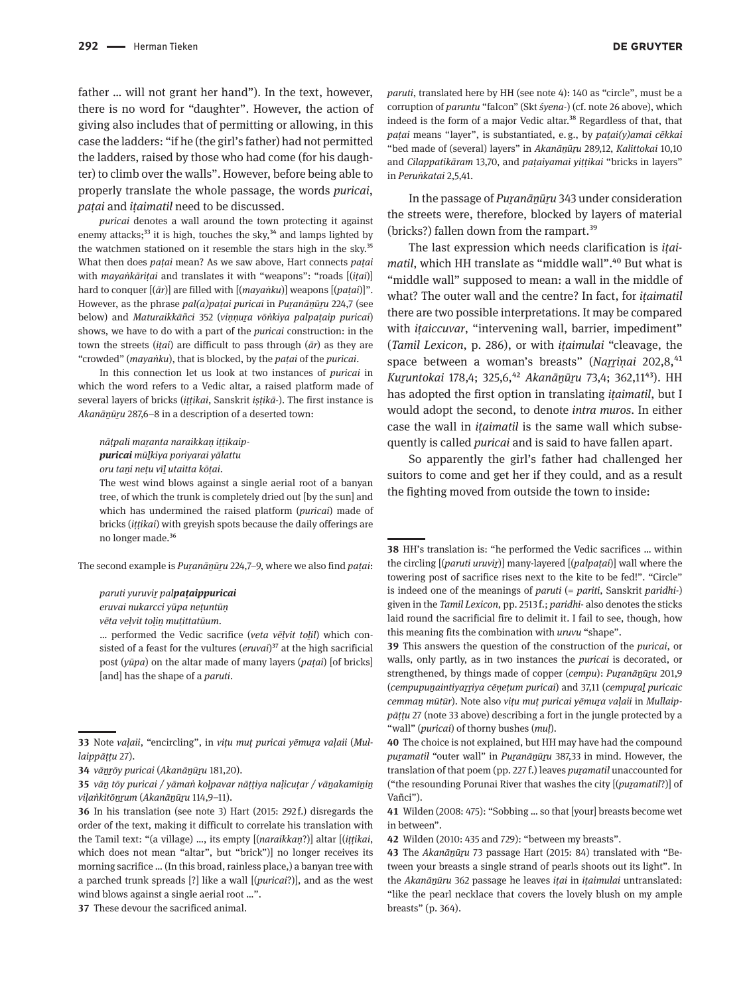father … will not grant her hand"). In the text, however, there is no word for "daughter". However, the action of giving also includes that of permitting or allowing, in this case the ladders: "if he (the girl's father) had not permitted the ladders, raised by those who had come (for his daughter) to climb over the walls". However, before being able to properly translate the whole passage, the words *puricai*, *paṭai* and *iṭaimatil* need to be discussed.

*puricai* denotes a wall around the town protecting it against enemy attacks; $33$  it is high, touches the sky, $34$  and lamps lighted by the watchmen stationed on it resemble the stars high in the sky.<sup>35</sup> What then does *paṭai* mean? As we saw above, Hart connects *paṭai* with *mayaṅkāriṭai* and translates it with "weapons": "roads [(*iṭai*)] hard to conquer [(*ār*)] are filled with [(*mayaṅku*)] weapons [(*paṭai*)]". However, as the phrase *pal(a)paṭai puricai* in *Puṟanāṉūṟu* 224,7 (see below) and *Maturaikkāñci* 352 (*viṇṇuṟa vōṅkiya palpaṭaip puricai*) shows, we have to do with a part of the *puricai* construction: in the town the streets (*iṭai*) are difficult to pass through (*ār*) as they are "crowded" (*mayaṅku*), that is blocked, by the *paṭai* of the *puricai*.

In this connection let us look at two instances of *puricai* in which the word refers to a Vedic altar, a raised platform made of several layers of bricks (*iṭṭikai*, Sanskrit *iṣṭikā-*). The first instance is *Akanāṉūṟu* 287,6–8 in a description of a deserted town:

*nāṭpali maṟanta naraikkaṇ iṭṭikaip-*

*puricai mūḻkiya poriyarai yālattu*

*oru taṉi neṭu vīḻ utaitta kōṭai*.

The west wind blows against a single aerial root of a banyan tree, of which the trunk is completely dried out [by the sun] and which has undermined the raised platform (*puricai*) made of bricks (*iṭṭikai*) with greyish spots because the daily offerings are no longer made.36

The second example is *Puṟanāṉūṟu* 224,7–9, where we also find *paṭai*:

*paruti yuruviṟ palpaṭaippuricai*

*eruvai nukarcci yūpa neṭuntūṇ*

*vēta veḷvit toḻiṉ muṭittatūum*.

… performed the Vedic sacrifice (*veta vēḷvit toḻil*) which consisted of a feast for the vultures (*eruvai*)<sup>37</sup> at the high sacrificial post (*yūpa*) on the altar made of many layers (*paṭai*) [of bricks] [and] has the shape of a *paruti*.

**37** These devour the sacrificed animal.

*paruti*, translated here by HH (see note 4): 140 as "circle", must be a corruption of *paruntu* "falcon" (Skt *śyena-*) (cf. note 26 above), which indeed is the form of a major Vedic altar.<sup>38</sup> Regardless of that, that *paṭai* means "layer", is substantiated, e. g., by *paṭai(y)amai cēkkai* "bed made of (several) layers" in *Akanāṉūṟu* 289,12, *Kalittokai* 10,10 and *Cilappatikāram* 13,70, and *paṭaiyamai yiṭṭikai* "bricks in layers" in *Peruṅkatai* 2,5,41.

In the passage of *Puranānūru* 343 under consideration the streets were, therefore, blocked by layers of material (bricks?) fallen down from the rampart.39

The last expression which needs clarification is *iṭaimatil*, which HH translate as "middle wall".<sup>40</sup> But what is "middle wall" supposed to mean: a wall in the middle of what? The outer wall and the centre? In fact, for *iṭaimatil* there are two possible interpretations. It may be compared with *iṭaiccuvar*, "intervening wall, barrier, impediment" (*Tamil Lexicon*, p. 286), or with *iṭaimulai* "cleavage, the space between a woman's breasts" (Narrinai 202,8,<sup>41</sup>) *Kuṟuntokai* 178,4; 325,6,42 *Akanāṉūṟu* 73,4; 362,1143). HH has adopted the first option in translating *iṭaimatil*, but I would adopt the second, to denote *intra muros*. In either case the wall in *iṭaimatil* is the same wall which subsequently is called *puricai* and is said to have fallen apart.

So apparently the girl's father had challenged her suitors to come and get her if they could, and as a result the fighting moved from outside the town to inside:

**38** HH's translation is: "he performed the Vedic sacrifices … within the circling [(*paruti uruviṟ*)] many-layered [(*palpaṭai*)] wall where the towering post of sacrifice rises next to the kite to be fed!". "Circle" is indeed one of the meanings of *paruti* (= *pariti*, Sanskrit *paridhi-*) given in the *Tamil Lexicon*, pp. 2513 f.; *paridhi-* also denotes the sticks laid round the sacrificial fire to delimit it. I fail to see, though, how this meaning fits the combination with *uruvu* "shape".

**39** This answers the question of the construction of the *puricai*, or walls, only partly, as in two instances the *puricai* is decorated, or strengthened, by things made of copper (*cempu*): *Puranāṇūru* 201,9 (*cempupuṉaintiyaṟṟiya cēṇeṭum puricai*) and 37,11 (*cempuṟaḻ puricaic cemmaṉ mūtūr*). Note also *viṭu muṭ puricai yēmuṟa vaḷaii* in *Mullaippāṭṭu* 27 (note 33 above) describing a fort in the jungle protected by a "wall" (*puricai*) of thorny bushes (*muḷ*).

**40** The choice is not explained, but HH may have had the compound *puṟamatil* "outer wall" in *Puṟanāṉūṟu* 387,33 in mind. However, the translation of that poem (pp. 227 f.) leaves *puṟamatil* unaccounted for ("the resounding Porunai River that washes the city [(*puṟamatil*?)] of Vañci").

**41** Wilden (2008: 475): "Sobbing … so that [your] breasts become wet in between".

**42** Wilden (2010: 435 and 729): "between my breasts".

**43** The *Akanāṉūṟu* 73 passage Hart (2015: 84) translated with "Between your breasts a single strand of pearls shoots out its light". In the *Akanāṉūru* 362 passage he leaves *iṭai* in *iṭaimulai* untranslated: "like the pearl necklace that covers the lovely blush on my ample breasts" (p. 364).

**<sup>33</sup>** Note *vaḷaii*, "encircling", in *viṭu muṭ puricai yēmuṟa vaḷaii* (*Mullaippāṭṭu* 27).

**<sup>34</sup>** *vāṉṟōy puricai* (*Akanāṉūṟu* 181,20).

**<sup>35</sup>** *vāṉ tōy puricai / yāmaṅ koḷpavar nāṭṭiya naḷicuṭar / vāṉakamīṉiṉ viḷaṅkitōṉṟum* (*Akanāṉūṟu* 114,9–11).

**<sup>36</sup>** In his translation (see note 3) Hart (2015: 292 f.) disregards the order of the text, making it difficult to correlate his translation with the Tamil text: "(a village) …, its empty [(*naraikkaṇ*?)] altar [(*iṭṭikai*, which does not mean "altar", but "brick")] no longer receives its morning sacrifice … (In this broad, rainless place,) a banyan tree with a parched trunk spreads [?] like a wall [(*puricai*?)], and as the west wind blows against a single aerial root …".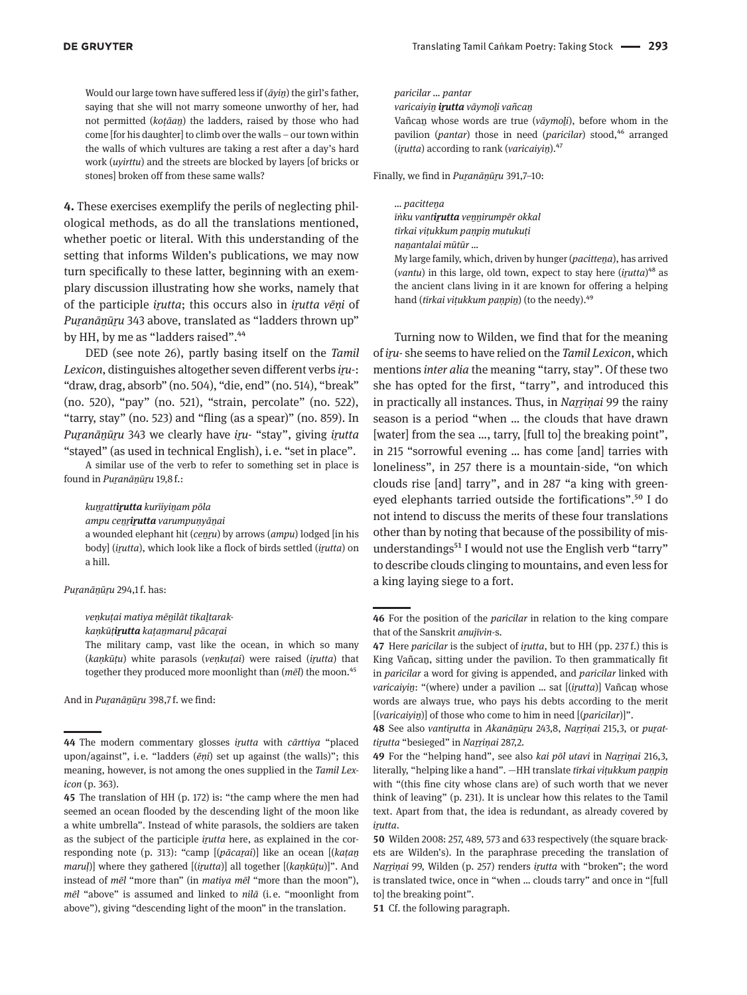Would our large town have suffered less if ( $\bar{a}$ *yin*) the girl's father, saying that she will not marry someone unworthy of her, had not permitted (*koṭāaṉ*) the ladders, raised by those who had come [for his daughter] to climb over the walls – our town within the walls of which vultures are taking a rest after a day's hard work (*uyirttu*) and the streets are blocked by layers [of bricks or stones] broken off from these same walls?

**4.** These exercises exemplify the perils of neglecting philological methods, as do all the translations mentioned, whether poetic or literal. With this understanding of the setting that informs Wilden's publications, we may now turn specifically to these latter, beginning with an exemplary discussion illustrating how she works, namely that of the participle *iṟutta*; this occurs also in *iṟutta vēṇi* of *Puranānūru* 343 above, translated as "ladders thrown up" by HH, by me as "ladders raised".<sup>44</sup>

DED (see note 26), partly basing itself on the *Tamil Lexicon*, distinguishes altogether seven different verbs *iṟu*-: "draw, drag, absorb" (no. 504), "die, end" (no. 514), "break" (no. 520), "pay" (no. 521), "strain, percolate" (no. 522), "tarry, stay" (no. 523) and "fling (as a spear)" (no. 859). In *Puṟanāṉūṟu* 343 we clearly have *iṟu-* "stay", giving *iṟutta*  "stayed" (as used in technical English), i. e. "set in place".

A similar use of the verb to refer to something set in place is found in *Puṟanāṉūṟu* 19,8 f.:

*kuṉṟattiṟutta kurīiyiṉam pōla*

*ampu ceṉṟiṟutta varumpuṇyāṉai*

a wounded elephant hit (*ceṉṟu*) by arrows (*ampu*) lodged [in his body] (*iṟutta*), which look like a flock of birds settled (*iṟutta*) on a hill.

*Puṟanāṉūṟu* 294,1 f. has:

*veṇkuṭai matiya mēṉilāt tikaḻtarak-*

*kaṇkūṭiṟutta kaṭaṉmaruḷ pācaṟai*

The military camp, vast like the ocean, in which so many (*kaṇkūṭu*) white parasols (*veṇkuṭai*) were raised (*iṟutta*) that together they produced more moonlight than (*mēl*) the moon.45

And in *Puṟanāṉūṟu* 398,7 f. we find:

*paricilar … pantar*

*varicaiyiṉ iṟutta vāymoḻi vañcaṉ*

Vañcaṉ whose words are true (*vāymoḻi*), before whom in the pavilion (*pantar*) those in need (*paricilar*) stood,<sup>46</sup> arranged (*iṟutta*) according to rank (*varicaiyiṉ*).47

Finally, we find in *Puṟanāṉūṟu* 391,7–10:

## *… pacitteṉa*

*īṅku vantiṟutta veṉṉirumpēr okkal tīrkai viṭukkum paṇpiṉ mutukuṭi*

*naṉantalai mūtūr …*

My large family, which, driven by hunger (*pacittena*), has arrived (*vantu*) in this large, old town, expect to stay here (*iṟutta*)48 as the ancient clans living in it are known for offering a helping hand (*tīrkai viṭukkum paṇpiṉ*) (to the needy).49

Turning now to Wilden, we find that for the meaning of *iṟu-* she seems to have relied on the *Tamil Lexicon*, which mentions *inter alia* the meaning "tarry, stay". Of these two she has opted for the first, "tarry", and introduced this in practically all instances. Thus, in *Naṟṟiṇai* 99 the rainy season is a period "when … the clouds that have drawn [water] from the sea ..., tarry, [full to] the breaking point", in 215 "sorrowful evening … has come [and] tarries with loneliness", in 257 there is a mountain-side, "on which clouds rise [and] tarry", and in 287 "a king with greeneyed elephants tarried outside the fortifications".50 I do not intend to discuss the merits of these four translations other than by noting that because of the possibility of misunderstandings<sup>51</sup> I would not use the English verb "tarry" to describe clouds clinging to mountains, and even less for a king laying siege to a fort.

**51** Cf. the following paragraph.

**<sup>44</sup>** The modern commentary glosses *iṟutta* with *cārttiya* "placed upon/against", i.e. "ladders (*ēni*) set up against (the walls)"; this meaning, however, is not among the ones supplied in the *Tamil Lexicon* (p. 363).

**<sup>45</sup>** The translation of HH (p. 172) is: "the camp where the men had seemed an ocean flooded by the descending light of the moon like a white umbrella". Instead of white parasols, the soldiers are taken as the subject of the participle *iṟutta* here, as explained in the corresponding note (p. 313): "camp [(*pācaṟai*)] like an ocean [(*kaṭaṉ maruḷ*)] where they gathered [(*iṟutta*)] all together [(*kaṇkūṭu*)]". And instead of *mēl* "more than" (in *matiya mēl* "more than the moon"), *mēl* "above" is assumed and linked to *nilā* (i. e. "moonlight from above"), giving "descending light of the moon" in the translation.

**<sup>46</sup>** For the position of the *paricilar* in relation to the king compare that of the Sanskrit *anujīvin-*s.

**<sup>47</sup>** Here *paricilar* is the subject of *iṟutta*, but to HH (pp. 237 f.) this is King Vañcaṉ, sitting under the pavilion. To then grammatically fit in *paricilar* a word for giving is appended, and *paricilar* linked with *varicaivin*: "(where) under a pavilion ... sat [(*irutta*)] Vañcan whose words are always true, who pays his debts according to the merit [(*varicaiyiṉ*)] of those who come to him in need [(*paricilar*)]".

**<sup>48</sup>** See also *vantiṟutta* in *Akanāṉūṟu* 243,8, *Naṟṟiṇai* 215,3, or *puṟattiṟutta* "besieged" in *Naṟṟiṇai* 287,2.

**<sup>49</sup>** For the "helping hand", see also *kai pōl utavi* in *Naṟṟiṇai* 216,3, literally, "helping like a hand". —HH translate *tīrkai viṭukkum paṇpiṉ* with "(this fine city whose clans are) of such worth that we never think of leaving" (p. 231). It is unclear how this relates to the Tamil text. Apart from that, the idea is redundant, as already covered by *iṟutta*.

**<sup>50</sup>** Wilden 2008: 257, 489, 573 and 633 respectively (the square brackets are Wilden's). In the paraphrase preceding the translation of *Naṟṟiṇai* 99, Wilden (p. 257) renders *iṟutta* with "broken"; the word is translated twice, once in "when … clouds tarry" and once in "[full to] the breaking point".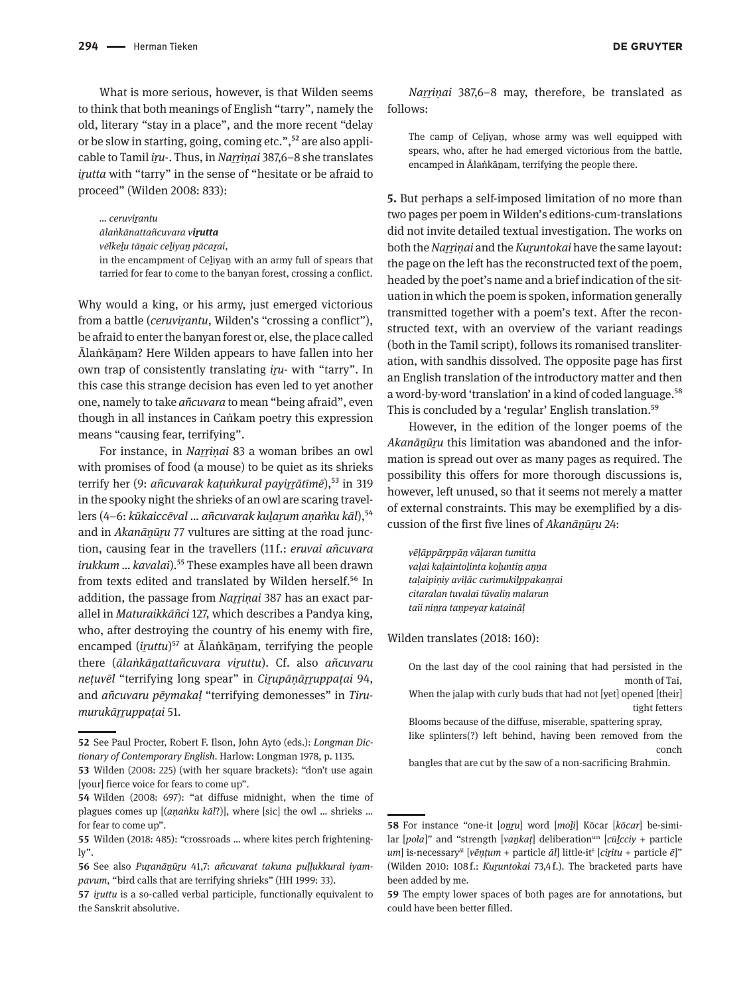What is more serious, however, is that Wilden seems to think that both meanings of English "tarry", namely the old, literary "stay in a place", and the more recent "delay or be slow in starting, going, coming etc.",<sup>52</sup> are also applicable to Tamil *iṟu-*. Thus, in *Naṟṟiṇai* 387,6–8 she translates *irutta* with "tarry" in the sense of "hesitate or be afraid to proceed" (Wilden 2008: 833):

*… ceruviṟantu*

*ālaṅkānattañcuvara viṟutta*

*vēlkeḻu tāṉaic ceḻiyaṉ pācaṟai*,

in the encampment of Ceḻiyaṉ with an army full of spears that tarried for fear to come to the banyan forest, crossing a conflict.

Why would a king, or his army, just emerged victorious from a battle *(ceruvirantu*, Wilden's "crossing a conflict"), be afraid to enter the banyan forest or, else, the place called Ālaṅkāṉam? Here Wilden appears to have fallen into her own trap of consistently translating *iṟu*- with "tarry". In this case this strange decision has even led to yet another one, namely to take *añcuvara* to mean "being afraid", even though in all instances in Caṅkam poetry this expression means "causing fear, terrifying".

For instance, in *Naṟṟiṇai* 83 a woman bribes an owl with promises of food (a mouse) to be quiet as its shrieks terrify her (9: *añcuvarak katuṅkural payirrātīmē*),<sup>53</sup> in 319 in the spooky night the shrieks of an owl are scaring travellers (4–6: kūkaiccēval ... añcuvarak kularum anaṅku kāl),<sup>54</sup> and in *Akanānūru* 77 vultures are sitting at the road junction, causing fear in the travellers (11 f.: *eruvai añcuvara irukkum … kavalai*).55 These examples have all been drawn from texts edited and translated by Wilden herself.<sup>56</sup> In addition, the passage from *Naṟṟiṇai* 387 has an exact parallel in *Maturaikkāñci* 127, which describes a Pandya king, who, after destroying the country of his enemy with fire, encamped (*iruttu*)<sup>57</sup> at Ālaṅkāṇam, terrifying the people there (*ālaṅkāṉattañcuvara viṟuttu*). Cf. also *añcuvaru neṭuvēl* "terrifying long spear" in *Ciṟupāṇāṟṟuppaṭai* 94, and *añcuvaru pēymakaḷ* "terrifying demonesses" in *Tirumurukāṟṟuppaṭai* 51.

The camp of Ceḻiyaṉ, whose army was well equipped with spears, who, after he had emerged victorious from the battle, encamped in Ālaṅkānam, terrifying the people there.

**5.** But perhaps a self-imposed limitation of no more than two pages per poem in Wilden's editions-cum-translations did not invite detailed textual investigation. The works on both the *Naṟṟiṇai* and the *Kuṟuntokai* have the same layout: the page on the left has the reconstructed text of the poem, headed by the poet's name and a brief indication of the situation in which the poem is spoken, information generally transmitted together with a poem's text. After the reconstructed text, with an overview of the variant readings (both in the Tamil script), follows its romanised transliteration, with sandhis dissolved. The opposite page has first an English translation of the introductory matter and then a word-by-word 'translation' in a kind of coded language.<sup>58</sup> This is concluded by a 'regular' English translation.<sup>59</sup>

However, in the edition of the longer poems of the *Akanānūru* this limitation was abandoned and the information is spread out over as many pages as required. The possibility this offers for more thorough discussions is, however, left unused, so that it seems not merely a matter of external constraints. This may be exemplified by a discussion of the first five lines of *Akanānūru* 24:

*vēḷāppārppāṉ vāḷaran tumitta vaḷai kaḷaintoḻinta koḻuntiṉ aṉṉa taḷaipiṇiy aviḻāc curimukiḻppakaṉṟai citaralan tuvalai tūvaliṉ malarun taii niṉṟa taṇpeyaṟ kataināḷ*

Wilden translates (2018: 160):

On the last day of the cool raining that had persisted in the month of Tai,

bangles that are cut by the saw of a non-sacrificing Brahmin.

**<sup>52</sup>** See Paul Procter, Robert F. Ilson, John Ayto (eds.): *Longman Dictionary of Contemporary English*. Harlow: Longman 1978, p. 1135.

**<sup>53</sup>** Wilden (2008: 225) (with her square brackets): "don't use again [your] fierce voice for fears to come up".

**<sup>54</sup>** Wilden (2008: 697): "at diffuse midnight, when the time of plagues comes up [(*aṇaṅku kāl*?)], where [sic] the owl … shrieks … for fear to come up".

**<sup>55</sup>** Wilden (2018: 485): "crossroads … where kites perch frighteningly".

**<sup>56</sup>** See also *Puṟanāṉūṟu* 41,7: *añcuvarat takuna puḷḷukkural iyampavum*, "bird calls that are terrifying shrieks" (HH 1999: 33).

**<sup>57</sup>** *iṟuttu* is a so-called verbal participle, functionally equivalent to the Sanskrit absolutive.

When the jalap with curly buds that had not [yet] opened [their] tight fetters

Blooms because of the diffuse, miserable, spattering spray, like splinters(?) left behind, having been removed from the conch

**<sup>58</sup>** For instance "one-it [*oṉṟu*] word [*moḻi*] Kōcar [*kōcar*] be-similar [*pola*]" and "strength [*vaṉkaṭ*] deliberationum [*cūḻcciy* + particle *um*] is-necessaryāl [*vēṇṭum* + particle *āl*] little-itē [*ciṟitu* + particle *ē*]" (Wilden 2010: 108 f.: *Kuṟuntokai* 73,4 f.). The bracketed parts have been added by me.

**<sup>59</sup>** The empty lower spaces of both pages are for annotations, but could have been better filled.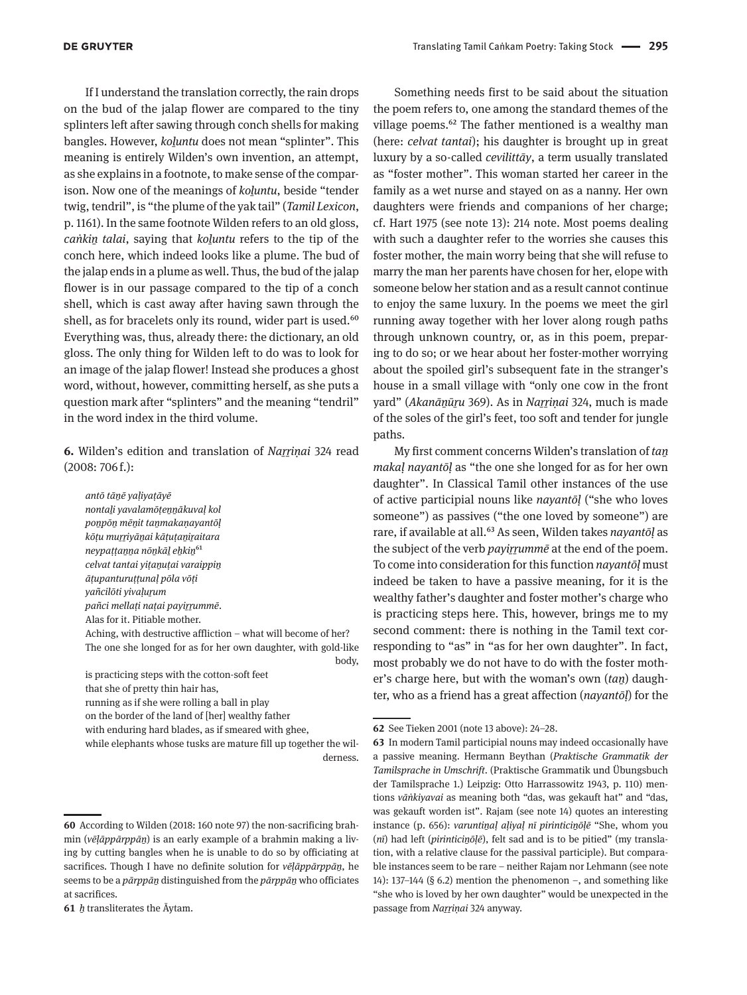If I understand the translation correctly, the rain drops on the bud of the jalap flower are compared to the tiny splinters left after sawing through conch shells for making bangles. However, *koḻuntu* does not mean "splinter". This meaning is entirely Wilden's own invention, an attempt, as she explains in a footnote, to make sense of the comparison. Now one of the meanings of *koḻuntu*, beside "tender twig, tendril", is "the plume of the yak tail" (*Tamil Lexicon*, p. 1161). In the same footnote Wilden refers to an old gloss, *caṅkiṉ talai*, saying that *koḻuntu* refers to the tip of the conch here, which indeed looks like a plume. The bud of the jalap ends in a plume as well. Thus, the bud of the jalap flower is in our passage compared to the tip of a conch shell, which is cast away after having sawn through the shell, as for bracelets only its round, wider part is used.<sup>60</sup> Everything was, thus, already there: the dictionary, an old gloss. The only thing for Wilden left to do was to look for an image of the jalap flower! Instead she produces a ghost word, without, however, committing herself, as she puts a question mark after "splinters" and the meaning "tendril" in the word index in the third volume.

**6.** Wilden's edition and translation of *Naṟṟiṇai* 324 read  $(2008:706f.):$ 

*antō tāṉē yaḷiyaṭāyē nontaḻi yavalamōṭeṉṉākuvaḷ kol poṉpōṉ mēṉit taṉmakaṇayantōḷ kōṭu muṟṟiyāṉai kāṭuṭaṉiṟaitara neypaṭṭaṉṉa nōṉkāḻ eẖkiṉ*61 *celvat tantai yiṭaṉuṭai varaippiṉ āṭupanturuṭṭunaḷ pōla vōṭi yañcilōti yivaḷuṟum pañci mellaṭi naṭai payiṟṟummē*. Alas for it. Pitiable mother. Aching, with destructive affliction – what will become of her? The one she longed for as for her own daughter, with gold-like body,

is practicing steps with the cotton-soft feet that she of pretty thin hair has, running as if she were rolling a ball in play on the border of the land of [her] wealthy father with enduring hard blades, as if smeared with ghee,

while elephants whose tusks are mature fill up together the wilderness.

**61** *ẖ* transliterates the Āytam.

Something needs first to be said about the situation the poem refers to, one among the standard themes of the village poems.<sup>62</sup> The father mentioned is a wealthy man (here: *celvat tantai*); his daughter is brought up in great luxury by a so-called *cevilittāy*, a term usually translated as "foster mother". This woman started her career in the family as a wet nurse and stayed on as a nanny. Her own daughters were friends and companions of her charge; cf. Hart 1975 (see note 13): 214 note. Most poems dealing with such a daughter refer to the worries she causes this foster mother, the main worry being that she will refuse to marry the man her parents have chosen for her, elope with someone below her station and as a result cannot continue to enjoy the same luxury. In the poems we meet the girl running away together with her lover along rough paths through unknown country, or, as in this poem, preparing to do so; or we hear about her foster-mother worrying about the spoiled girl's subsequent fate in the stranger's house in a small village with "only one cow in the front yard" (*Akanāṉūṟu* 369). As in *Naṟṟiṇai* 324, much is made of the soles of the girl's feet, too soft and tender for jungle paths.

My first comment concerns Wilden's translation of *taṉ makaḷ nayantōḷ* as "the one she longed for as for her own daughter". In Classical Tamil other instances of the use of active participial nouns like *nayantōḷ* ("she who loves someone") as passives ("the one loved by someone") are rare, if available at all.63 As seen, Wilden takes *nayantōḷ* as the subject of the verb *payiṟṟummē* at the end of the poem. To come into consideration for this function *nayantōḷ* must indeed be taken to have a passive meaning, for it is the wealthy father's daughter and foster mother's charge who is practicing steps here. This, however, brings me to my second comment: there is nothing in the Tamil text corresponding to "as" in "as for her own daughter". In fact, most probably we do not have to do with the foster mother's charge here, but with the woman's own (*taṉ*) daughter, who as a friend has a great affection (*nayantōḷ*) for the

**<sup>60</sup>** According to Wilden (2018: 160 note 97) the non-sacrificing brahmin (*vēḷāppārppāṉ*) is an early example of a brahmin making a living by cutting bangles when he is unable to do so by officiating at sacrifices. Though I have no definite solution for *vēḷāppārppāṉ*, he seems to be a *pārppāṉ* distinguished from the *pārppāṉ* who officiates at sacrifices.

**<sup>62</sup>** See Tieken 2001 (note 13 above): 24–28.

**<sup>63</sup>** In modern Tamil participial nouns may indeed occasionally have a passive meaning. Hermann Beythan (*Praktische Grammatik der Tamilsprache in Umschrift*. (Praktische Grammatik und Übungsbuch der Tamilsprache 1.) Leipzig: Otto Harrassowitz 1943, p. 110) mentions *vāṅkiyavai* as meaning both "das, was gekauft hat" and "das, was gekauft worden ist". Rajam (see note 14) quotes an interesting instance (p. 656): *varuntiṉaḷ aḷiyaḷ nī pirinticiṉōḷē* "She, whom you (*nī*) had left (*pirinticiṉōḷē*), felt sad and is to be pitied" (my translation, with a relative clause for the passival participle). But comparable instances seem to be rare – neither Rajam nor Lehmann (see note 14): 137–144 (§ 6.2) mention the phenomenon –, and something like "she who is loved by her own daughter" would be unexpected in the passage from *Naṟṟiṇai* 324 anyway.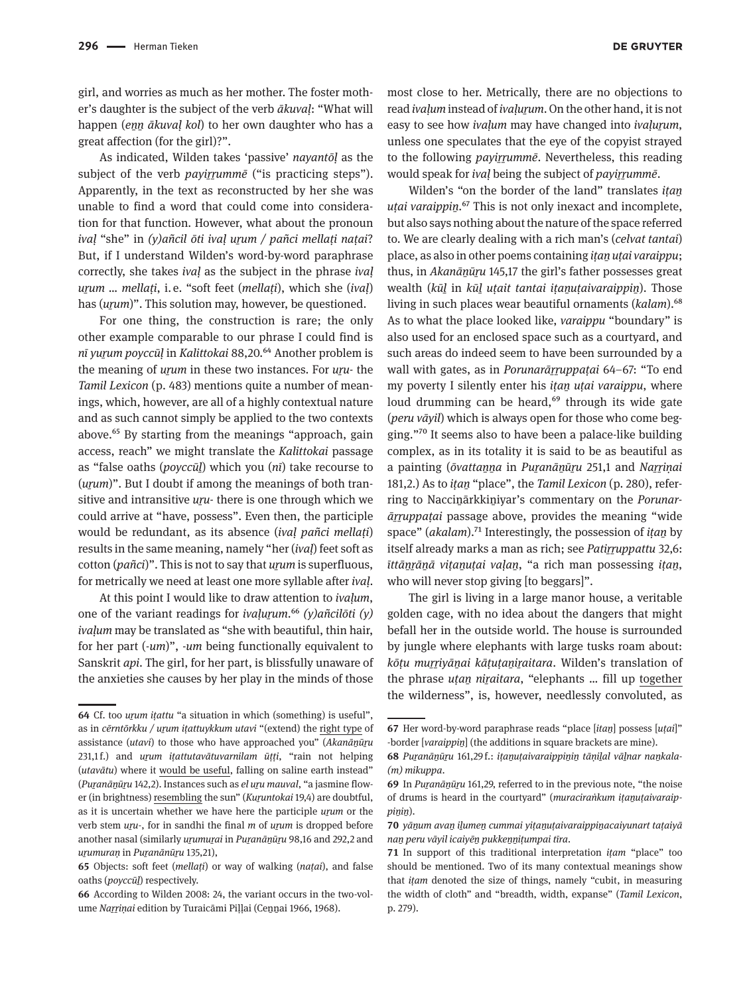girl, and worries as much as her mother. The foster mother's daughter is the subject of the verb *ākuvaḷ*: "What will happen (*enn ākuval kol*) to her own daughter who has a great affection (for the girl)?".

As indicated, Wilden takes 'passive' *nayantōḷ* as the subject of the verb *payirrumme* ("is practicing steps"). Apparently, in the text as reconstructed by her she was unable to find a word that could come into consideration for that function. However, what about the pronoun *ivaḷ* "she" in *(y)añcil ōti ivaḷ uṟum / pañci mellaṭi naṭai*? But, if I understand Wilden's word-by-word paraphrase correctly, she takes *ivaḷ* as the subject in the phrase *ivaḷ uṟum … mellaṭi*, i.  e. "soft feet (*mellaṭi*), which she (*ivaḷ*) has (*urum*)". This solution may, however, be questioned.

For one thing, the construction is rare; the only other example comparable to our phrase I could find is *nī yuṟum poyccūḷ* in *Kalittokai* 88,20.64 Another problem is the meaning of *urum* in these two instances. For *uru*- the *Tamil Lexicon* (p. 483) mentions quite a number of meanings, which, however, are all of a highly contextual nature and as such cannot simply be applied to the two contexts above.65 By starting from the meanings "approach, gain access, reach" we might translate the *Kalittokai* passage as "false oaths (*poyccūḻ*) which you (*nī*) take recourse to (*urum*)". But I doubt if among the meanings of both transitive and intransitive *uru*- there is one through which we could arrive at "have, possess". Even then, the participle would be redundant, as its absence (*ivaḷ pañci mellaṭi*) results in the same meaning, namely "her (*ivaḷ*) feet soft as cotton (*pañci*)". This is not to say that *uṟum* is superfluous, for metrically we need at least one more syllable after *ivaḷ*.

At this point I would like to draw attention to *ivaḷum*, one of the variant readings for *ivaḷuṟum*.66 *(y)añcilōti (y) ivaḷum* may be translated as "she with beautiful, thin hair, for her part (*-um*)", -*um* being functionally equivalent to Sanskrit *api*. The girl, for her part, is blissfully unaware of the anxieties she causes by her play in the minds of those

most close to her. Metrically, there are no objections to read *ivaḷum* instead of *ivaḷuṟum*. On the other hand, it is not easy to see how *ivalum* may have changed into *ivalurum*, unless one speculates that the eye of the copyist strayed to the following *payirrumme*. Nevertheless, this reading would speak for *ival* being the subject of *payirrumme*.

Wilden's "on the border of the land" translates *iṭaṉ utai varaippin.*<sup>67</sup> This is not only inexact and incomplete, but also says nothing about the nature of the space referred to. We are clearly dealing with a rich man's (*celvat tantai*) place, as also in other poems containing *iṭaṉ uṭai varaippu*; thus, in *Akanānūru* 145,17 the girl's father possesses great wealth (*kūḻ* in *kūḻ uṭait tantai iṭaṉuṭaivaraippiṉ*). Those living in such places wear beautiful ornaments (*kalam*).<sup>68</sup> As to what the place looked like, *varaippu* "boundary" is also used for an enclosed space such as a courtyard, and such areas do indeed seem to have been surrounded by a wall with gates, as in *Porunarārruppatai* 64–67: "To end my poverty I silently enter his *iṭaṉ uṭai varaippu*, where loud drumming can be heard,<sup>69</sup> through its wide gate (*peru vāyil*) which is always open for those who come begging."70 It seems also to have been a palace-like building complex, as in its totality it is said to be as beautiful as a painting (*ōvattaṉṉa* in *Puṟanāṉūṟu* 251,1 and *Naṟṟiṇai* 181,2.) As to *iṭaṉ* "place", the *Tamil Lexicon* (p. 280), referring to Nacciṉārkkiṉiyar's commentary on the *Porunarāṟṟuppaṭai* passage above, provides the meaning "wide space" (*akalam*).<sup>71</sup> Interestingly, the possession of *itan* by itself already marks a man as rich; see *Patirruppattu* 32,6: *īttāṉṟāṉā viṭaṉuṭai vaḷaṉ*, "a rich man possessing *iṭaṉ*, who will never stop giving [to beggars]".

The girl is living in a large manor house, a veritable golden cage, with no idea about the dangers that might befall her in the outside world. The house is surrounded by jungle where elephants with large tusks roam about: *kōṭu muṟṟiyāṉai kāṭuṭaṉiṟaitara*. Wilden's translation of the phrase *uṭaṉ niṟaitara*, "elephants … fill up together the wilderness", is, however, needlessly convoluted, as

**<sup>64</sup>** Cf. too *uṟum iṭattu* "a situation in which (something) is useful", as in *cērntōrkku / uṟum iṭattuykkum utavi* "(extend) the right type of assistance (*utavi*) to those who have approached you" (*Akanāṉūṟu* 231,1 f.) and *uṟum iṭattutavātuvarnilam ūṭṭi*, "rain not helping (*utavātu*) where it would be useful, falling on saline earth instead" (*Puṟanāṉūṟu* 142,2). Instances such as *el uṟu mauval*, "a jasmine flower (in brightness) resembling the sun" (*Kuṟuntokai* 19,4) are doubtful, as it is uncertain whether we have here the participle *uṟum* or the verb stem *uṟu*-, for in sandhi the final *m* of *uṟum* is dropped before another nasal (similarly *uṟumuṟai* in *Puṟanāṉūṟu* 98,16 and 292,2 and *uṟumuraṇ* in *Puṟanānūṟu* 135,21),

**<sup>65</sup>** Objects: soft feet (*mellaṭi*) or way of walking (*naṭai*), and false oaths (*poyccūḻ*) respectively.

**<sup>66</sup>** According to Wilden 2008: 24, the variant occurs in the two-volume *Naṟṟiṇai* edition by Turaicāmi Piḷḷai (Ceṉṉai 1966, 1968).

**<sup>67</sup>** Her word-by-word paraphrase reads "place [*itaṉ*] possess [*uṭai*]" -border [varaippin] (the additions in square brackets are mine).

**<sup>68</sup>** *Puṟanāṉūṟu* 161,29 f.: *iṭaṉuṭaivaraippiṉiṉ tāṇiḻal vāḻnar naṉkala- (m) mikuppa*.

**<sup>69</sup>** In *Puṟanāṉūṟu* 161,29, referred to in the previous note, "the noise of drums is heard in the courtyard" (*muraciraṅkum iṭaṉuṭaivaraippiṉiṉ*).

**<sup>70</sup>** *yāṉum avaṉ iḻumeṉ cummai yiṭaṉuṭaivaraippiṉacaiyunart taṭaiyā naṉ peru vāyil icaiyēṉ pukkeṉṉiṭumpai tīra*.

**<sup>71</sup>** In support of this traditional interpretation *iṭam* "place" too should be mentioned. Two of its many contextual meanings show that *iṭam* denoted the size of things, namely "cubit, in measuring the width of cloth" and "breadth, width, expanse" (*Tamil Lexicon*, p. 279).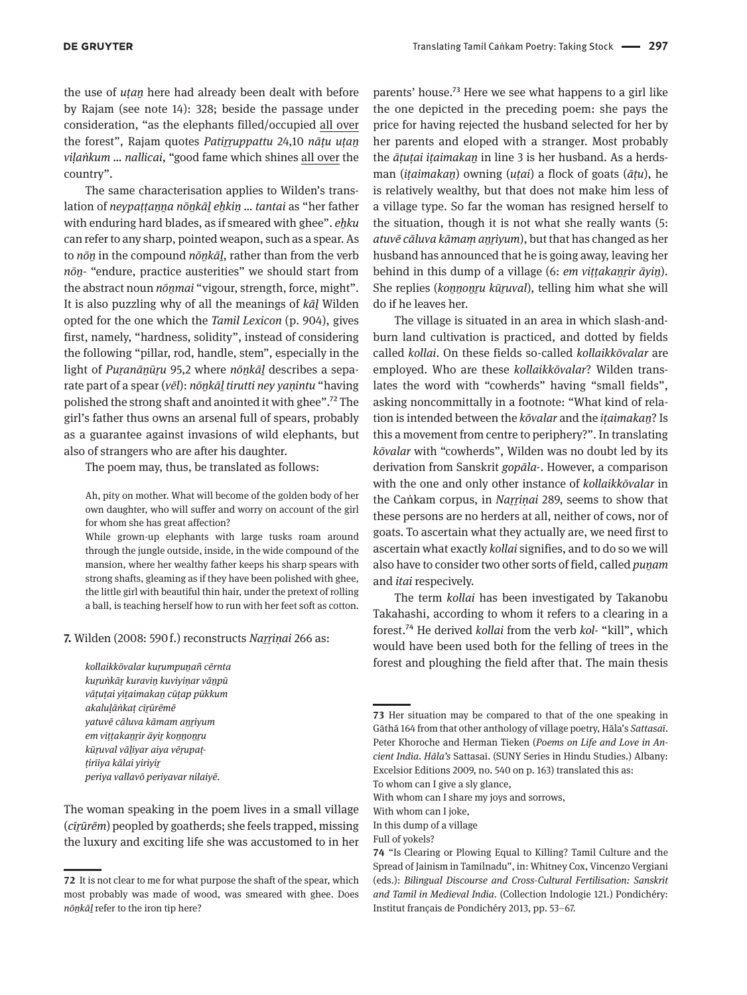the use of *uṭaṉ* here had already been dealt with before by Rajam (see note 14): 328; beside the passage under consideration, "as the elephants filled/occupied all over the forest", Rajam quotes *Patiṟṟuppattu* 24,10 *nāṭu uṭaṉ viḷaṅkum … nallicai*, "good fame which shines all over the country".

The same characterisation applies to Wilden's translation of *neypaṭṭaṉṉa nōṉkāḻ eẖkiṉ … tantai* as "her father with enduring hard blades, as if smeared with ghee". *ehku* can refer to any sharp, pointed weapon, such as a spear. As to *nōṉ* in the compound *nōṉkāḻ*, rather than from the verb *nōṉ-* "endure, practice austerities" we should start from the abstract noun *nōnmai* "vigour, strength, force, might". It is also puzzling why of all the meanings of *kāḻ* Wilden opted for the one which the *Tamil Lexicon* (p. 904), gives first, namely, "hardness, solidity", instead of considering the following "pillar, rod, handle, stem", especially in the light of *Puranānūru* 95,2 where *nōnkāl* describes a separate part of a spear (*vēl*): *nōṉkāḻ tirutti ney yaṇintu* "having polished the strong shaft and anointed it with ghee".72 The girl's father thus owns an arsenal full of spears, probably as a guarantee against invasions of wild elephants, but also of strangers who are after his daughter.

The poem may, thus, be translated as follows:

Ah, pity on mother. What will become of the golden body of her own daughter, who will suffer and worry on account of the girl for whom she has great affection?

While grown-up elephants with large tusks roam around through the jungle outside, inside, in the wide compound of the mansion, where her wealthy father keeps his sharp spears with strong shafts, gleaming as if they have been polished with ghee, the little girl with beautiful thin hair, under the pretext of rolling a ball, is teaching herself how to run with her feet soft as cotton.

**7.** Wilden (2008: 590 f.) reconstructs *Naṟṟiṇai* 266 as:

*kollaikkōvalar kuṟumpuṉañ cērnta kuṟuṅkāṟ kuraviṉ kuviyiṇar vāṉpū vāṭuṭai yiṭaimakaṉ cūṭap pūkkum akaluḷāṅkaṭ cīṟūrēmē yatuvē cāluva kāmam aṉṟiyum em viṭṭakaṉṟir āyiṟ koṉṉoṉṟu kūṟuval vāḻiyar aiya vēṟupaṭṭirīiya kālai yiriyiṟ periya vallavō periyavar nilaiyē.*

The woman speaking in the poem lives in a small village (*cīṟūrēm*) peopled by goatherds; she feels trapped, missing the luxury and exciting life she was accustomed to in her

parents' house.73 Here we see what happens to a girl like the one depicted in the preceding poem: she pays the price for having rejected the husband selected for her by her parents and eloped with a stranger. Most probably the *ātutai itaimakan* in line 3 is her husband. As a herdsman (*iṭaimakaṉ*) owning (*uṭai*) a flock of goats (*āṭu*), he is relatively wealthy, but that does not make him less of a village type. So far the woman has resigned herself to the situation, though it is not what she really wants (5: *atuvē cāluva kāmaṃ aṉṟiyum*), but that has changed as her husband has announced that he is going away, leaving her behind in this dump of a village (6: *em viṭṭakaṉṟir āyiṉ*). She replies (*koṉṉoṉṟu kūṟuval*), telling him what she will do if he leaves her.

The village is situated in an area in which slash-andburn land cultivation is practiced, and dotted by fields called *kollai*. On these fields so-called *kollaikkōvalar* are employed. Who are these *kollaikkōvalar*? Wilden translates the word with "cowherds" having "small fields", asking noncommittally in a footnote: "What kind of relation is intended between the *kōvalar* and the *iṭaimakaṉ*? Is this a movement from centre to periphery?". In translating *kōvalar* with "cowherds", Wilden was no doubt led by its derivation from Sanskrit *gopāla-*. However, a comparison with the one and only other instance of *kollaikkōvalar* in the Caṅkam corpus, in *Narrinai* 289, seems to show that these persons are no herders at all, neither of cows, nor of goats. To ascertain what they actually are, we need first to ascertain what exactly *kollai* signifies, and to do so we will also have to consider two other sorts of field, called *puṉam* and *itai* respecively.

The term *kollai* has been investigated by Takanobu Takahashi, according to whom it refers to a clearing in a forest.74 He derived *kollai* from the verb *kol-* "kill", which would have been used both for the felling of trees in the forest and ploughing the field after that. The main thesis

To whom can I give a sly glance,

With whom can I share my joys and sorrows,

With whom can I joke,

In this dump of a village

Full of yokels?

**<sup>72</sup>** It is not clear to me for what purpose the shaft of the spear, which most probably was made of wood, was smeared with ghee. Does *nōṉkāḻ* refer to the iron tip here?

**<sup>73</sup>** Her situation may be compared to that of the one speaking in Gāthā 164 from that other anthology of village poetry, Hāla's *Sattasaī*. Peter Khoroche and Herman Tieken (*Poems on Life and Love in Ancient India. Hāla's* Sattasaī. (SUNY Series in Hindu Studies.) Albany: Excelsior Editions 2009, no. 540 on p. 163) translated this as:

**<sup>74</sup>** "Is Clearing or Plowing Equal to Killing? Tamil Culture and the Spread of Jainism in Tamilnadu", in: Whitney Cox, Vincenzo Vergiani (eds.): *Bilingual Discourse and Cross-Cultural Fertilisation: Sanskrit and Tamil in Medieval India*. (Collection Indologie 121.) Pondichéry: Institut français de Pondichéry 2013, pp. 53–67.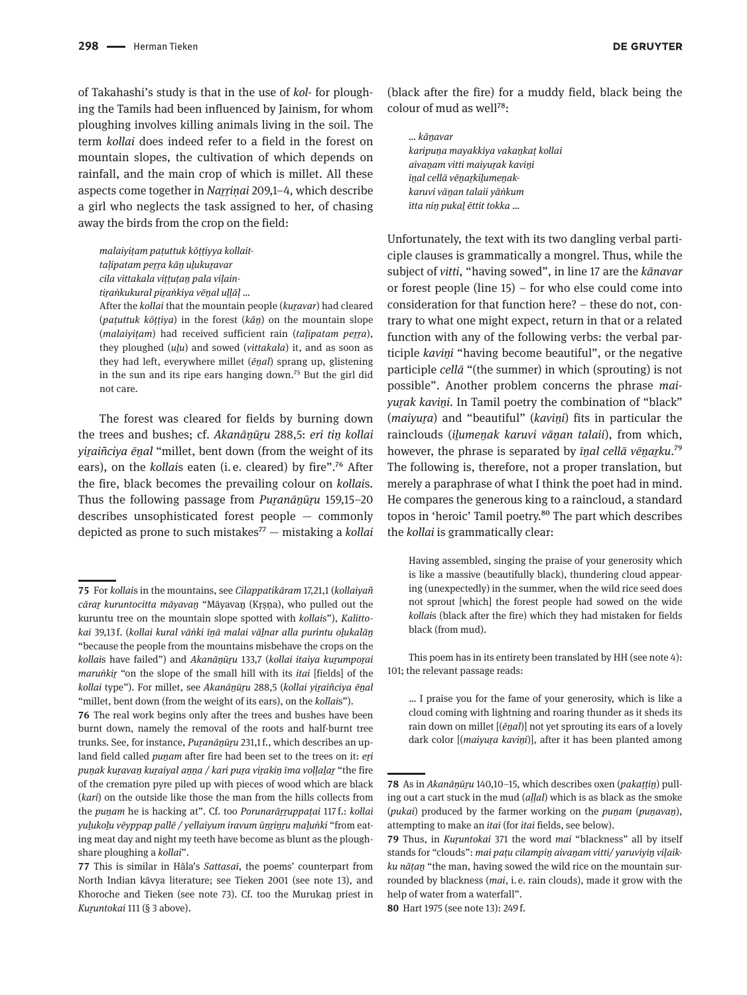of Takahashi's study is that in the use of *kol*- for ploughing the Tamils had been influenced by Jainism, for whom ploughing involves killing animals living in the soil. The term *kollai* does indeed refer to a field in the forest on mountain slopes, the cultivation of which depends on rainfall, and the main crop of which is millet. All these aspects come together in *Naṟṟiṇai* 209,1–4, which describe a girl who neglects the task assigned to her, of chasing away the birds from the crop on the field:

*malaiyiṭam paṭuttuk kōṭṭiyya kollait-*

*taḷipatam peṟṟa kāṉ uḻukuṟavar*

*cila vittakala viṭṭuṭaṉ pala viḷain-*

*tiṟaṅkukural piṟaṅkiya vēṉal uḷḷāḷ* …

After the *kollai* that the mountain people (*kuṟavar*) had cleared (*paṭuttuk kōṭṭiya*) in the forest (*kāṉ*) on the mountain slope (*malaivitam*) had received sufficient rain (*talipatam perra*), they ploughed (*uḻu*) and sowed (*vittakala*) it, and as soon as they had left, everywhere millet (*ēṉal*) sprang up, glistening in the sun and its ripe ears hanging down.<sup>75</sup> But the girl did not care.

The forest was cleared for fields by burning down the trees and bushes; cf. *Akanāṉūṟu* 288,5: *eri tiṉ kollai yiṟaiñciya ēṉal* "millet, bent down (from the weight of its ears), on the *kollais* eaten (i.e. cleared) by fire".<sup>76</sup> After the fire, black becomes the prevailing colour on *kollai*s. Thus the following passage from *Puṟanāṉūṟu* 159,15–20 describes unsophisticated forest people — commonly depicted as prone to such mistakes77 — mistaking a *kollai*

(black after the fire) for a muddy field, black being the colour of mud as well78:

*… kāṉavar karipuṉa mayakkiya vakaṉkaṭ kollai aivaṉam vitti maiyuṟak kaviṉi īṉal cellā vēṉaṟkiḻumeṉakkaruvi vāṉan talaii yāṅkum ītta niṉ pukaḻ ēttit tokka …*

Unfortunately, the text with its two dangling verbal participle clauses is grammatically a mongrel. Thus, while the subject of *vitti*, "having sowed", in line 17 are the *kānavar* or forest people (line 15) – for who else could come into consideration for that function here? – these do not, contrary to what one might expect, return in that or a related function with any of the following verbs: the verbal participle *kaviṉi* "having become beautiful", or the negative participle *cellā* "(the summer) in which (sprouting) is not possible". Another problem concerns the phrase *maiyuṟak kaviṉi*. In Tamil poetry the combination of "black" (*maiyuṟa*) and "beautiful" (*kaviṉi*) fits in particular the rainclouds (*iḻumeṉak karuvi vāṉan talaii*), from which, however, the phrase is separated by *īṉal cellā vēṉaṟku*.79 The following is, therefore, not a proper translation, but merely a paraphrase of what I think the poet had in mind. He compares the generous king to a raincloud, a standard topos in 'heroic' Tamil poetry.<sup>80</sup> The part which describes the *kollai* is grammatically clear:

Having assembled, singing the praise of your generosity which is like a massive (beautifully black), thundering cloud appearing (unexpectedly) in the summer, when the wild rice seed does not sprout [which] the forest people had sowed on the wide *kollai*s (black after the fire) which they had mistaken for fields black (from mud).

This poem has in its entirety been translated by HH (see note 4): 101; the relevant passage reads:

… I praise you for the fame of your generosity, which is like a cloud coming with lightning and roaring thunder as it sheds its rain down on millet [(*ēṉal*)] not yet sprouting its ears of a lovely dark color [(*maiyuṟa kaviṉi*)], after it has been planted among

**80** Hart 1975 (see note 13): 249 f.

**<sup>75</sup>** For *kollai*s in the mountains, see *Cilappatikāram* 17,21,1 (*kollaiyañ cāraṟ kuruntocitta māyavaṉ* "Māyavaṉ (Kṛṣṇa), who pulled out the kuruntu tree on the mountain slope spotted with *kollai*s"), *Kalittokai* 39,13 f. (*kollai kural vāṅki īṉā malai vāḻnar alla purintu oḻukalāṉ* "because the people from the mountains misbehave the crops on the *kollai*s have failed") and *Akanāṉūṟu* 133,7 (*kollai itaiya kuṟumpoṟai marunkir* "on the slope of the small hill with its *itai* [fields] of the *kollai* type"). For millet, see *Akanāṉūṟu* 288,5 (*kollai yiṟaiñciya ēṉal* "millet, bent down (from the weight of its ears), on the *kollai*s").

**<sup>76</sup>** The real work begins only after the trees and bushes have been burnt down, namely the removal of the roots and half-burnt tree trunks. See, for instance, *Puṟanāṉūṟu* 231,1 f., which describes an upland field called *punam* after fire had been set to the trees on it: *eri puṉak kuṟavaṉ kuṟaiyal aṉṉa / kari puṟa viṟakiṉ īma voḷḷaḻaṟ* "the fire of the cremation pyre piled up with pieces of wood which are black (*kari*) on the outside like those the man from the hills collects from the *puṉam* he is hacking at". Cf. too *Porunarāṟṟuppaṭai* 117 f.: *kollai yuḻukoḻu vēyppap pallē / yellaiyum iravum ūṉṟiṉṟu maḻuṅki* "from eating meat day and night my teeth have become as blunt as the ploughshare ploughing a *kollai*".

**<sup>77</sup>** This is similar in Hāla's *Sattasaī*, the poems' counterpart from North Indian kāvya literature; see Tieken 2001 (see note 13), and Khoroche and Tieken (see note 73). Cf. too the Murukaṉ priest in *Kuṟuntokai* 111 (§ 3 above).

**<sup>78</sup>** As in *Akanāṉūṟu* 140,10–15, which describes oxen (*pakaṭṭiṉ*) pulling out a cart stuck in the mud (*aḷḷal*) which is as black as the smoke (*pukai*) produced by the farmer working on the *puṉam* (*puṉavaṉ*), attempting to make an *itai* (for *itai* fields, see below).

**<sup>79</sup>** Thus, in *Kuṟuntokai* 371 the word *mai* "blackness" all by itself stands for "clouds": mai patu cilampin aivanam vitti/ yaruviyin vilaik*ku nāṭaṉ* "the man, having sowed the wild rice on the mountain surrounded by blackness (*mai*, i. e. rain clouds), made it grow with the help of water from a waterfall".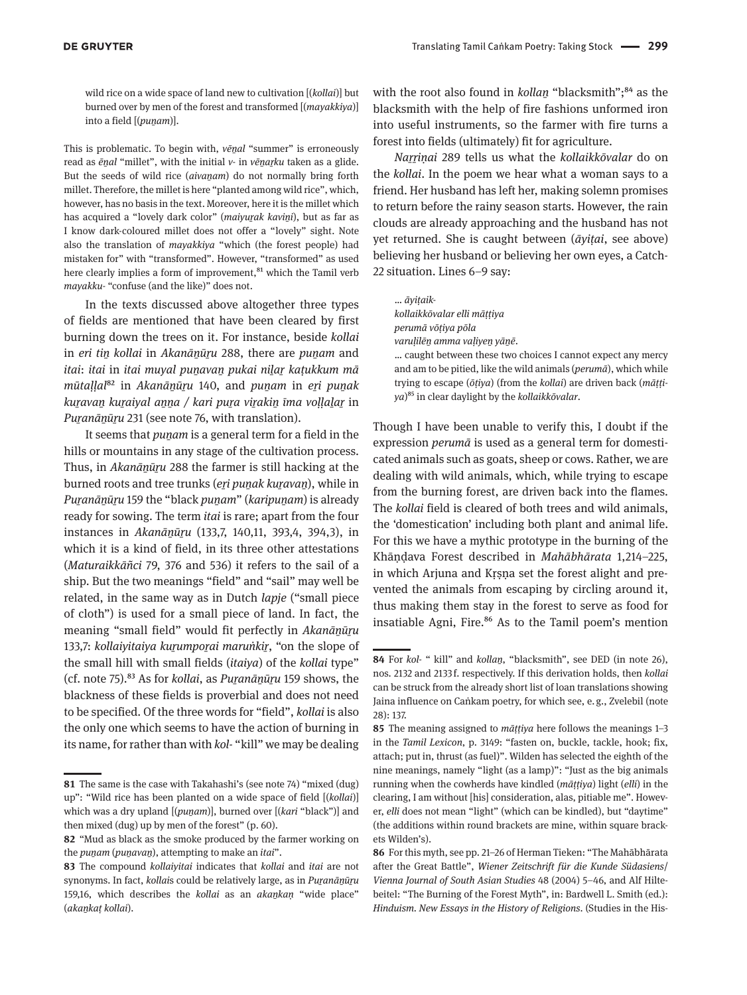wild rice on a wide space of land new to cultivation [(*kollai*)] but burned over by men of the forest and transformed [(*mayakkiya*)] into a field [(*puṉam*)].

This is problematic. To begin with, *vēṉal* "summer" is erroneously read as *ēṉal* "millet", with the initial *v-* in *vēṉaṟku* taken as a glide. But the seeds of wild rice *(aivanam)* do not normally bring forth millet. Therefore, the millet is here "planted among wild rice", which, however, has no basis in the text. Moreover, here it is the millet which has acquired a "lovely dark color" (*maiyuṟak kaviṉi*), but as far as I know dark-coloured millet does not offer a "lovely" sight. Note also the translation of *mayakkiya* "which (the forest people) had mistaken for" with "transformed". However, "transformed" as used here clearly implies a form of improvement,<sup>81</sup> which the Tamil verb *mayakku-* "confuse (and the like)" does not.

In the texts discussed above altogether three types of fields are mentioned that have been cleared by first burning down the trees on it. For instance, beside *kollai* in *eri tiṉ kollai* in *Akanāṉūṟu* 288, there are *puṉam* and *itai*: *itai* in *itai muyal puṉavaṉ pukai niḻaṟ kaṭukkum mā mūtaḷḷal*82 in *Akanāṉūṟu* 140, and *puṉam* in *eṟi puṉak kuṟavaṉ kuṟaiyal aṉṉa / kari puṟa viṟakiṉ īma voḷḷaḻaṟ* in *Puranānūru* 231 (see note 76, with translation).

It seems that *puṉam* is a general term for a field in the hills or mountains in any stage of the cultivation process. Thus, in *Akanānūru* 288 the farmer is still hacking at the burned roots and tree trunks (*eri punak kuravan*), while in *Puṟanāṉūṟu* 159 the "black *puṉam*" (*karipuṉam*) is already ready for sowing. The term *itai* is rare; apart from the four instances in *Akanānūru* (133,7, 140,11, 393,4, 394,3), in which it is a kind of field, in its three other attestations (*Maturaikkāñci* 79, 376 and 536) it refers to the sail of a ship. But the two meanings "field" and "sail" may well be related, in the same way as in Dutch *lapje* ("small piece of cloth") is used for a small piece of land. In fact, the meaning "small field" would fit perfectly in *Akanāṉūṟu* 133,7: *kollaiyitaiya kuṟumpoṟai maruṅkiṟ*, "on the slope of the small hill with small fields (*itaiya*) of the *kollai* type" (cf. note 75).83 As for *kollai*, as *Puṟanāṉūṟu* 159 shows, the blackness of these fields is proverbial and does not need to be specified. Of the three words for "field", *kollai* is also the only one which seems to have the action of burning in its name, for rather than with *kol-* "kill" we may be dealing with the root also found in *kollan* "blacksmith";<sup>84</sup> as the blacksmith with the help of fire fashions unformed iron into useful instruments, so the farmer with fire turns a forest into fields (ultimately) fit for agriculture.

*Naṟṟiṇai* 289 tells us what the *kollaikkōvalar* do on the *kollai*. In the poem we hear what a woman says to a friend. Her husband has left her, making solemn promises to return before the rainy season starts. However, the rain clouds are already approaching and the husband has not yet returned. She is caught between (*āyiṭai*, see above) believing her husband or believing her own eyes, a Catch-22 situation. Lines 6–9 say:

… *āyiṭaikkollaikkōvalar elli māṭṭiya perumā vōṭiya pōla varuḷilēṉ amma vaḷiyeṉ yāṉē*. … caught between these two choices I cannot expect any mercy and am to be pitied, like the wild animals (*perumā*), which while trying to escape (*ōṭiya*) (from the *kollai*) are driven back (*māṭṭiya*)85 in clear daylight by the *kollaikkōvalar*.

Though I have been unable to verify this, I doubt if the expression *perumā* is used as a general term for domesticated animals such as goats, sheep or cows. Rather, we are dealing with wild animals, which, while trying to escape from the burning forest, are driven back into the flames. The *kollai* field is cleared of both trees and wild animals, the 'domestication' including both plant and animal life. For this we have a mythic prototype in the burning of the Khāṇḍava Forest described in *Mahābhārata* 1,214–225, in which Arjuna and Krsna set the forest alight and prevented the animals from escaping by circling around it, thus making them stay in the forest to serve as food for insatiable Agni, Fire.<sup>86</sup> As to the Tamil poem's mention

**86** For this myth, see pp. 21–26 of Herman Tieken: "The Mahābhārata after the Great Battle", *Wiener Zeitschrift für die Kunde Südasiens*/ *Vienna Journal of South Asian Studies* 48 (2004) 5–46, and Alf Hiltebeitel: "The Burning of the Forest Myth", in: Bardwell L. Smith (ed.): *Hinduism. New Essays in the History of Religions*. (Studies in the His-

**<sup>81</sup>** The same is the case with Takahashi's (see note 74) "mixed (dug) up": "Wild rice has been planted on a wide space of field [(*kollai*)] which was a dry upland [(*puṉam*)], burned over [(*kari* "black")] and then mixed (dug) up by men of the forest" (p. 60).

**<sup>82</sup>** "Mud as black as the smoke produced by the farmer working on the *puṉam* (*puṉavaṉ*), attempting to make an *itai*".

**<sup>83</sup>** The compound *kollaiyitai* indicates that *kollai* and *itai* are not synonyms. In fact, *kollai*s could be relatively large, as in *Puṟanāṉūṟu* 159,16, which describes the *kollai* as an *akaṉkaṇ* "wide place" (*akaṉkaṭ kollai*).

**<sup>84</sup>** For *kol-* " kill" and *kollaṉ*, "blacksmith", see DED (in note 26), nos. 2132 and 2133 f. respectively. If this derivation holds, then *kollai* can be struck from the already short list of loan translations showing Jaina influence on Caṅkam poetry, for which see, e. g., Zvelebil (note 28): 137.

**<sup>85</sup>** The meaning assigned to *māṭṭiya* here follows the meanings 1–3 in the *Tamil Lexicon*, p. 3149: "fasten on, buckle, tackle, hook; fix, attach; put in, thrust (as fuel)". Wilden has selected the eighth of the nine meanings, namely "light (as a lamp)": "Just as the big animals running when the cowherds have kindled (*māṭṭiya*) light (*elli*) in the clearing, I am without [his] consideration, alas, pitiable me". However, *elli* does not mean "light" (which can be kindled), but "daytime" (the additions within round brackets are mine, within square brackets Wilden's).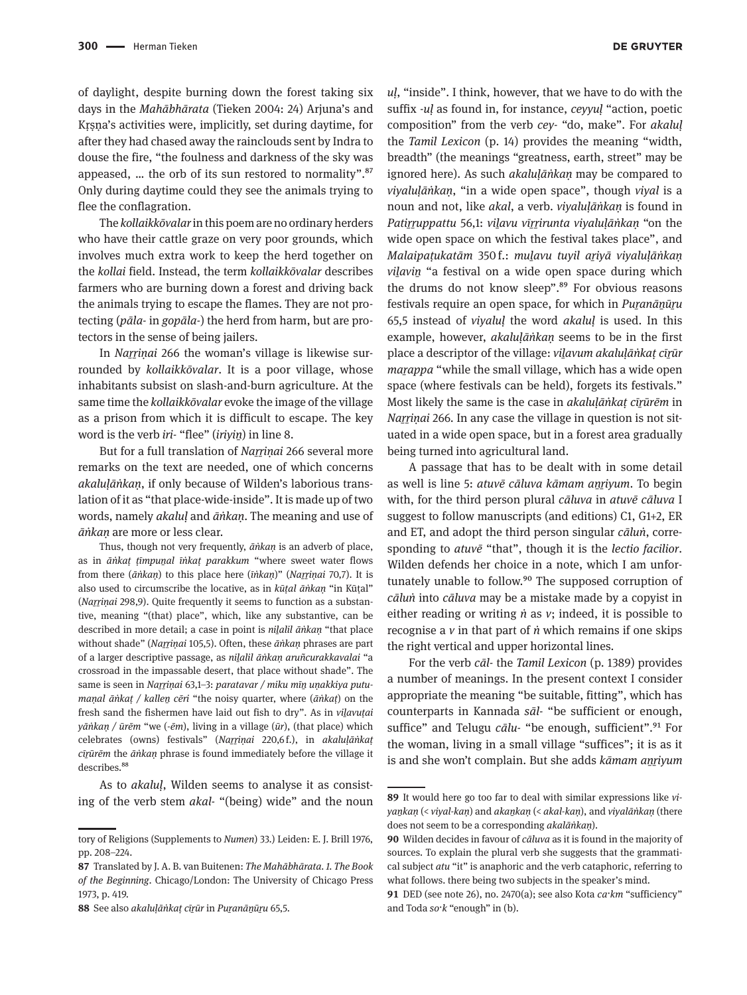of daylight, despite burning down the forest taking six days in the *Mahābhārata* (Tieken 2004: 24) Arjuna's and Kṛṣṇa's activities were, implicitly, set during daytime, for after they had chased away the rainclouds sent by Indra to douse the fire, "the foulness and darkness of the sky was appeased, … the orb of its sun restored to normality".87 Only during daytime could they see the animals trying to flee the conflagration.

The *kollaikkōvalar* in this poem are no ordinary herders who have their cattle graze on very poor grounds, which involves much extra work to keep the herd together on the *kollai* field. Instead, the term *kollaikkōvalar* describes farmers who are burning down a forest and driving back the animals trying to escape the flames. They are not protecting (*pāla-* in *gopāla-*) the herd from harm, but are protectors in the sense of being jailers.

In *Narrinai* 266 the woman's village is likewise surrounded by *kollaikkōvalar*. It is a poor village, whose inhabitants subsist on slash-and-burn agriculture. At the same time the *kollaikkōvalar* evoke the image of the village as a prison from which it is difficult to escape. The key word is the verb *iri-* "flee" (*iriyiṉ*) in line 8.

But for a full translation of *Narrinai* 266 several more remarks on the text are needed, one of which concerns *akaluḷāṅkaṇ*, if only because of Wilden's laborious translation of it as "that place-wide-inside". It is made up of two words, namely *akaluḷ* and *āṅkaṇ*. The meaning and use of *āṅkaṇ* are more or less clear.

Thus, though not very frequently, *āṅkaṇ* is an adverb of place, as in *āṅkaṭ ṭīmpuṉal īṅkaṭ parakkum* "where sweet water flows from there (*āṅkaṇ*) to this place here (*īṅkaṇ*)" (*Naṟṟiṇai* 70,7). It is also used to circumscribe the locative, as in *kūṭal āṅkaṇ* "in Kūṭal" (*Narrinai* 298,9). Quite frequently it seems to function as a substantive, meaning "(that) place", which, like any substantive, can be described in more detail; a case in point is *niḻalil āṅkaṇ* "that place without shade" (*Narrinai* 105,5). Often, these  $\bar{a}$ *nkan* phrases are part of a larger descriptive passage, as *niḻalil āṅkaṇ aruñcurakkavalai* "a crossroad in the impassable desert, that place without shade". The same is seen in *Naṟṟiṇai* 63,1–3: *paratavar / miku mīṉ uṇakkiya putumaṇal āṅkaṭ / kalleṉ cēri* "the noisy quarter, where (*āṅkaṭ*) on the fresh sand the fishermen have laid out fish to dry". As in *viḻavuṭai yāṅkaṇ / ūrēm* "we (-*ēm*), living in a village (*ūr*), (that place) which celebrates (owns) festivals" (*Naṟṟiṇai* 220,6 f.), in *akaluḷāṅkaṭ cīṟūrēm* the *āṅkaṇ* phrase is found immediately before the village it describes.<sup>88</sup>

As to *akaluḷ*, Wilden seems to analyse it as consisting of the verb stem *akal-* "(being) wide" and the noun *uḷ*, "inside". I think, however, that we have to do with the suffix -*uḷ* as found in, for instance, *ceyyuḷ* "action, poetic composition" from the verb *cey-* "do, make". For *akaluḷ* the *Tamil Lexicon* (p. 14) provides the meaning "width, breadth" (the meanings "greatness, earth, street" may be ignored here). As such *akaluḷāṅkaṇ* may be compared to *viyaluḷāṅkaṇ*, "in a wide open space", though *viyal* is a noun and not, like *akal*, a verb. *viyaluḷāṅkaṇ* is found in *Patiṟṟuppattu* 56,1: *viḻavu vīṟṟirunta viyaluḷāṅkaṇ* "on the wide open space on which the festival takes place", and *Malaipaṭukatām* 350  f.: *muḻavu tuyil aṟiyā viyaluḷāṅkaṇ viḻaviṉ* "a festival on a wide open space during which the drums do not know sleep".<sup>89</sup> For obvious reasons festivals require an open space, for which in *Puṟanāṉūṟu* 65,5 instead of *viyaluḷ* the word *akaluḷ* is used. In this example, however, *akaluḷāṅkaṇ* seems to be in the first place a descriptor of the village: *viḻavum akaluḷāṅkaṭ cīṟūr marappa* "while the small village, which has a wide open space (where festivals can be held), forgets its festivals." Most likely the same is the case in *akaluḷāṅkaṭ cīṟūrēm* in *Narrinai* 266. In any case the village in question is not situated in a wide open space, but in a forest area gradually being turned into agricultural land.

A passage that has to be dealt with in some detail as well is line 5: *atuvē cāluva kāmam aṉṟiyum*. To begin with, for the third person plural *cāluva* in *atuvē cāluva* I suggest to follow manuscripts (and editions) C1, G1+2, ER and ET, and adopt the third person singular *cāluṅ*, corresponding to *atuvē* "that", though it is the *lectio facilior*. Wilden defends her choice in a note, which I am unfortunately unable to follow.<sup>90</sup> The supposed corruption of *cāluṅ* into *cāluva* may be a mistake made by a copyist in either reading or writing *ṅ* as *v*; indeed, it is possible to recognise a *v* in that part of *ṅ* which remains if one skips the right vertical and upper horizontal lines.

For the verb *cāl-* the *Tamil Lexicon* (p. 1389) provides a number of meanings. In the present context I consider appropriate the meaning "be suitable, fitting", which has counterparts in Kannada *sāl-* "be sufficient or enough, suffice" and Telugu *cālu*- "be enough, sufficient".<sup>91</sup> For the woman, living in a small village "suffices"; it is as it is and she won't complain. But she adds *kāmam aṉṟiyum*

tory of Religions (Supplements to *Numen*) 33.) Leiden: E. J. Brill 1976, pp. 208–224.

**<sup>87</sup>** Translated by J. A. B. van Buitenen: *The Mahābhārata. 1. The Book of the Beginning*. Chicago/London: The University of Chicago Press 1973, p. 419.

**<sup>88</sup>** See also *akaluḷāṅkaṭ cīṟūr* in *Puṟanāṉūṟu* 65,5.

**<sup>89</sup>** It would here go too far to deal with similar expressions like *viyaṉkaṇ* (< *viyal-kaṇ*) and *akaṉkaṇ* (< *akal-kaṇ*), and *viyalāṅkaṇ* (there does not seem to be a corresponding *akalāṅkaṇ*).

**<sup>90</sup>** Wilden decides in favour of *cāluva* as it is found in the majority of sources. To explain the plural verb she suggests that the grammatical subject *atu* "it" is anaphoric and the verb cataphoric, referring to what follows. there being two subjects in the speaker's mind.

**<sup>91</sup>** DED (see note 26), no. 2470(a); see also Kota *ca*·*km* "sufficiency" and Toda *so*·*k* "enough" in (b).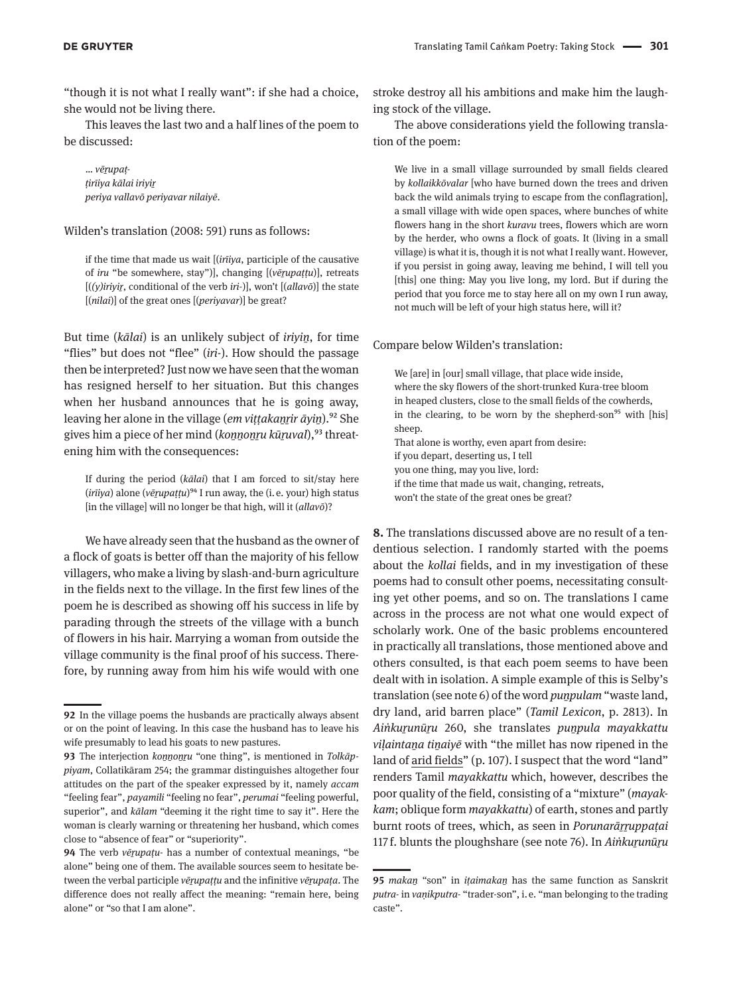"though it is not what I really want": if she had a choice, she would not be living there.

This leaves the last two and a half lines of the poem to be discussed:

… *vēṟupaṭṭirīiya kālai iriyiṟ periya vallavō periyavar nilaiyē*.

Wilden's translation (2008: 591) runs as follows:

if the time that made us wait [(*irīiya*, participle of the causative of *iru* "be somewhere, stay")], changing [(*vēṟupaṭṭu*)], retreats [(*(y)iriyiṟ*, conditional of the verb *iri-*)], won't [(*allavō*)] the state [(*nilai*)] of the great ones [(*periyavar*)] be great?

But time (*kālai*) is an unlikely subject of *iriyiṉ*, for time "flies" but does not "flee" (*iri-*). How should the passage then be interpreted? Just now we have seen that the woman has resigned herself to her situation. But this changes when her husband announces that he is going away, leaving her alone in the village (*em viṭṭakaṉṟir āyiṉ*).92 She gives him a piece of her mind (*konnonru kūruval*),<sup>93</sup> threatening him with the consequences:

If during the period (*kālai*) that I am forced to sit/stay here (*irīiya*) alone (*vēṟupaṭṭu*)94 I run away, the (i. e. your) high status [in the village] will no longer be that high, will it (*allavō*)?

We have already seen that the husband as the owner of a flock of goats is better off than the majority of his fellow villagers, who make a living by slash-and-burn agriculture in the fields next to the village. In the first few lines of the poem he is described as showing off his success in life by parading through the streets of the village with a bunch of flowers in his hair. Marrying a woman from outside the village community is the final proof of his success. Therefore, by running away from him his wife would with one stroke destroy all his ambitions and make him the laughing stock of the village.

The above considerations yield the following translation of the poem:

We live in a small village surrounded by small fields cleared by *kollaikkōvalar* [who have burned down the trees and driven back the wild animals trying to escape from the conflagration], a small village with wide open spaces, where bunches of white flowers hang in the short *kuravu* trees, flowers which are worn by the herder, who owns a flock of goats. It (living in a small village) is what it is, though it is not what I really want. However, if you persist in going away, leaving me behind, I will tell you [this] one thing: May you live long, my lord. But if during the period that you force me to stay here all on my own I run away, not much will be left of your high status here, will it?

## Compare below Wilden's translation:

We [are] in [our] small village, that place wide inside, where the sky flowers of the short-trunked Kura-tree bloom in heaped clusters, close to the small fields of the cowherds, in the clearing, to be worn by the shepherd-son<sup>95</sup> with [his] sheep. That alone is worthy, even apart from desire: if you depart, deserting us, I tell you one thing, may you live, lord: if the time that made us wait, changing, retreats, won't the state of the great ones be great?

**8.** The translations discussed above are no result of a tendentious selection. I randomly started with the poems about the *kollai* fields, and in my investigation of these poems had to consult other poems, necessitating consulting yet other poems, and so on. The translations I came across in the process are not what one would expect of scholarly work. One of the basic problems encountered in practically all translations, those mentioned above and others consulted, is that each poem seems to have been dealt with in isolation. A simple example of this is Selby's translation (see note 6) of the word *puṉpulam* "waste land, dry land, arid barren place" (*Tamil Lexicon*, p. 2813). In *Aiṅkuṟunūṟu* 260, she translates *puṉpula mayakkattu viḷaintaṉa tiṉaiyē* with "the millet has now ripened in the land of arid fields" (p. 107). I suspect that the word "land" renders Tamil *mayakkattu* which, however, describes the poor quality of the field, consisting of a "mixture" (*mayakkam*; oblique form *mayakkattu*) of earth, stones and partly burnt roots of trees, which, as seen in *Porunarāṟṟuppaṭai* 117 f. blunts the ploughshare (see note 76). In *Aiṅkuṟunūṟu* 

**<sup>92</sup>** In the village poems the husbands are practically always absent or on the point of leaving. In this case the husband has to leave his wife presumably to lead his goats to new pastures.

**<sup>93</sup>** The interjection *koṉṉoṉṟu* "one thing", is mentioned in *Tolkāppiyam*, Collatikāram 254; the grammar distinguishes altogether four attitudes on the part of the speaker expressed by it, namely *accam* "feeling fear", *payamili* "feeling no fear", *perumai* "feeling powerful, superior", and *kālam* "deeming it the right time to say it". Here the woman is clearly warning or threatening her husband, which comes close to "absence of fear" or "superiority".

**<sup>94</sup>** The verb *vērupatu*- has a number of contextual meanings, "be alone" being one of them. The available sources seem to hesitate between the verbal participle *vēṟupaṭṭu* and the infinitive *vēṟupaṭa*. The difference does not really affect the meaning: "remain here, being alone" or "so that I am alone".

**<sup>95</sup>** *makaṉ* "son" in *iṭaimakaṉ* has the same function as Sanskrit *putra-* in *vaṇikputra-* "trader-son", i. e. "man belonging to the trading caste".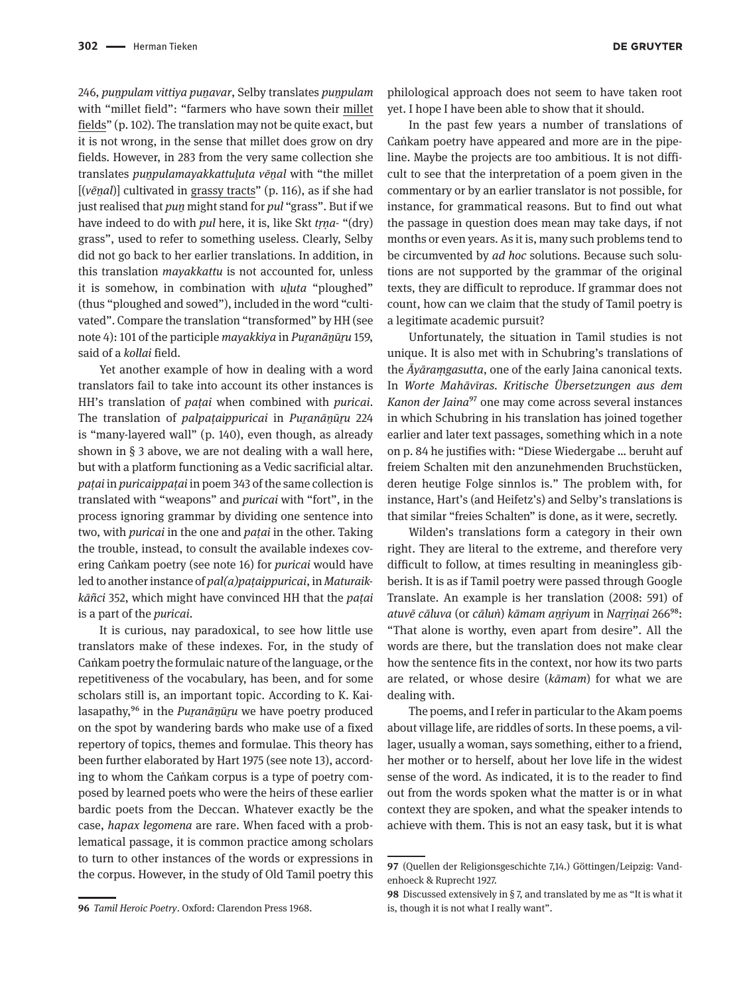246, *puṉpulam vittiya puṉavar*, Selby translates *puṉpulam* with "millet field": "farmers who have sown their millet fields" (p. 102). The translation may not be quite exact, but it is not wrong, in the sense that millet does grow on dry fields. However, in 283 from the very same collection she translates *puṉpulamayakkattuḻuta vēṉal* with "the millet [(*vēṉal*)] cultivated in grassy tracts" (p. 116), as if she had just realised that *puṉ* might stand for *pul* "grass". But if we have indeed to do with *pul* here, it is, like Skt *tṛṇa-* "(dry) grass", used to refer to something useless. Clearly, Selby did not go back to her earlier translations. In addition, in this translation *mayakkattu* is not accounted for, unless it is somehow, in combination with *uḻuta* "ploughed" (thus "ploughed and sowed"), included in the word "cultivated". Compare the translation "transformed" by HH (see note 4): 101 of the participle *mayakkiya* in *Puṟanāṉūṟu* 159, said of a *kollai* field.

Yet another example of how in dealing with a word translators fail to take into account its other instances is HH's translation of *paṭai* when combined with *puricai*. The translation of *palpataippuricai* in *Puranānūru* 224 is "many-layered wall" (p. 140), even though, as already shown in § 3 above, we are not dealing with a wall here, but with a platform functioning as a Vedic sacrificial altar. *paṭai* in *puricaippaṭai* in poem 343 of the same collection is translated with "weapons" and *puricai* with "fort", in the process ignoring grammar by dividing one sentence into two, with *puricai* in the one and *paṭai* in the other. Taking the trouble, instead, to consult the available indexes covering Caṅkam poetry (see note 16) for *puricai* would have led to another instance of *pal(a)paṭaippuricai*, in *Maturaikkāñci* 352, which might have convinced HH that the *paṭai* is a part of the *puricai*.

It is curious, nay paradoxical, to see how little use translators make of these indexes. For, in the study of Caṅkam poetry the formulaic nature of the language, or the repetitiveness of the vocabulary, has been, and for some scholars still is, an important topic. According to K. Kailasapathy,<sup>96</sup> in the *Puranānūru* we have poetry produced on the spot by wandering bards who make use of a fixed repertory of topics, themes and formulae. This theory has been further elaborated by Hart 1975 (see note 13), according to whom the Caṅkam corpus is a type of poetry composed by learned poets who were the heirs of these earlier bardic poets from the Deccan. Whatever exactly be the case, *hapax legomena* are rare. When faced with a problematical passage, it is common practice among scholars to turn to other instances of the words or expressions in the corpus. However, in the study of Old Tamil poetry this

philological approach does not seem to have taken root yet. I hope I have been able to show that it should.

In the past few years a number of translations of Caṅkam poetry have appeared and more are in the pipeline. Maybe the projects are too ambitious. It is not difficult to see that the interpretation of a poem given in the commentary or by an earlier translator is not possible, for instance, for grammatical reasons. But to find out what the passage in question does mean may take days, if not months or even years. As it is, many such problems tend to be circumvented by *ad hoc* solutions. Because such solutions are not supported by the grammar of the original texts, they are difficult to reproduce. If grammar does not count, how can we claim that the study of Tamil poetry is a legitimate academic pursuit?

Unfortunately, the situation in Tamil studies is not unique. It is also met with in Schubring's translations of the *Āyāraṃgasutta*, one of the early Jaina canonical texts. In *Worte Mahāvīras. Kritische Übersetzungen aus dem Kanon der Jaina*97 one may come across several instances in which Schubring in his translation has joined together earlier and later text passages, something which in a note on p. 84 he justifies with: "Diese Wiedergabe … beruht auf freiem Schalten mit den anzunehmenden Bruchstücken, deren heutige Folge sinnlos is." The problem with, for instance, Hart's (and Heifetz's) and Selby's translations is that similar "freies Schalten" is done, as it were, secretly.

Wilden's translations form a category in their own right. They are literal to the extreme, and therefore very difficult to follow, at times resulting in meaningless gibberish. It is as if Tamil poetry were passed through Google Translate. An example is her translation (2008: 591) of *atuvē cāluva* (or *cāluṅ*) *kāmam aṉṟiyum* in *Naṟṟiṇai* 26698: "That alone is worthy, even apart from desire". All the words are there, but the translation does not make clear how the sentence fits in the context, nor how its two parts are related, or whose desire (*kāmam*) for what we are dealing with.

The poems, and I refer in particular to the Akam poems about village life, are riddles of sorts. In these poems, a villager, usually a woman, says something, either to a friend, her mother or to herself, about her love life in the widest sense of the word. As indicated, it is to the reader to find out from the words spoken what the matter is or in what context they are spoken, and what the speaker intends to achieve with them. This is not an easy task, but it is what

**<sup>97</sup>** (Quellen der Religionsgeschichte 7,14.) Göttingen/Leipzig: Vandenhoeck & Ruprecht 1927.

**<sup>96</sup>** *Tamil Heroic Poetry*. Oxford: Clarendon Press 1968.

**<sup>98</sup>** Discussed extensively in § 7, and translated by me as "It is what it is, though it is not what I really want".